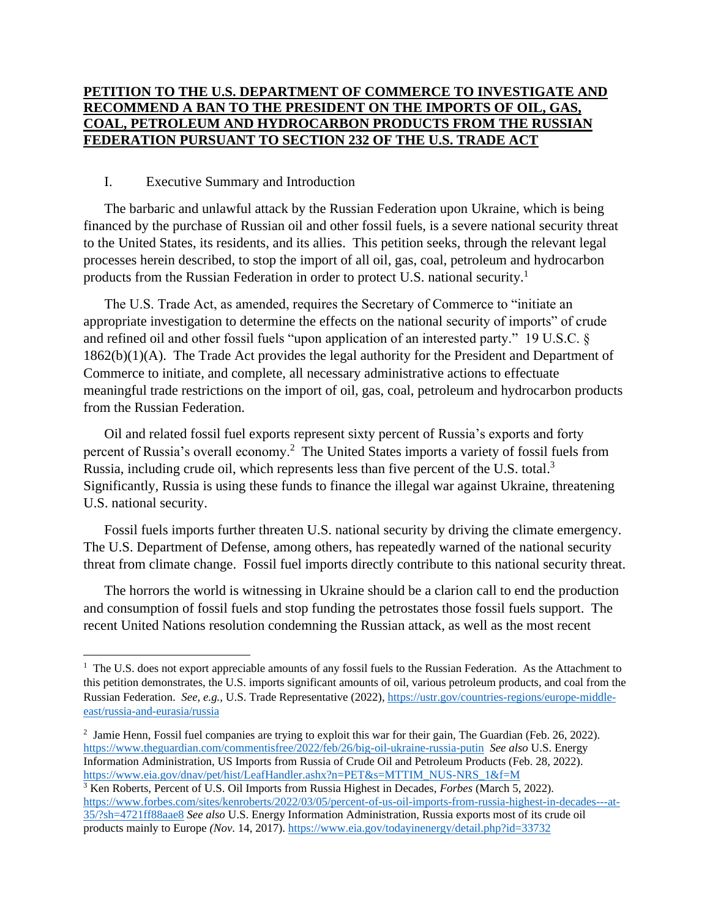## **PETITION TO THE U.S. DEPARTMENT OF COMMERCE TO INVESTIGATE AND RECOMMEND A BAN TO THE PRESIDENT ON THE IMPORTS OF OIL, GAS, COAL, PETROLEUM AND HYDROCARBON PRODUCTS FROM THE RUSSIAN FEDERATION PURSUANT TO SECTION 232 OF THE U.S. TRADE ACT**

## I. Executive Summary and Introduction

The barbaric and unlawful attack by the Russian Federation upon Ukraine, which is being financed by the purchase of Russian oil and other fossil fuels, is a severe national security threat to the United States, its residents, and its allies. This petition seeks, through the relevant legal processes herein described, to stop the import of all oil, gas, coal, petroleum and hydrocarbon products from the Russian Federation in order to protect U.S. national security.<sup>1</sup>

The U.S. Trade Act, as amended, requires the Secretary of Commerce to "initiate an appropriate investigation to determine the effects on the national security of imports" of crude and refined oil and other fossil fuels "upon application of an interested party." 19 U.S.C. § 1862(b)(1)(A). The Trade Act provides the legal authority for the President and Department of Commerce to initiate, and complete, all necessary administrative actions to effectuate meaningful trade restrictions on the import of oil, gas, coal, petroleum and hydrocarbon products from the Russian Federation.

Oil and related fossil fuel exports represent sixty percent of Russia's exports and forty percent of Russia's overall economy.<sup>2</sup> The United States imports a variety of fossil fuels from Russia, including crude oil, which represents less than five percent of the U.S. total.<sup>3</sup> Significantly, Russia is using these funds to finance the illegal war against Ukraine, threatening U.S. national security.

Fossil fuels imports further threaten U.S. national security by driving the climate emergency. The U.S. Department of Defense, among others, has repeatedly warned of the national security threat from climate change. Fossil fuel imports directly contribute to this national security threat.

The horrors the world is witnessing in Ukraine should be a clarion call to end the production and consumption of fossil fuels and stop funding the petrostates those fossil fuels support. The recent United Nations resolution condemning the Russian attack, as well as the most recent

<sup>&</sup>lt;sup>1</sup> The U.S. does not export appreciable amounts of any fossil fuels to the Russian Federation. As the Attachment to this petition demonstrates, the U.S. imports significant amounts of oil, various petroleum products, and coal from the Russian Federation. *See, e.g.,* U.S. Trade Representative (2022)*,* [https://ustr.gov/countries-regions/europe-middle](https://ustr.gov/countries-regions/europe-middle-east/russia-and-eurasia/russia)[east/russia-and-eurasia/russia](https://ustr.gov/countries-regions/europe-middle-east/russia-and-eurasia/russia) 

<sup>&</sup>lt;sup>2</sup> Jamie Henn, Fossil fuel companies are trying to exploit this war for their gain, The Guardian (Feb. 26, 2022). <https://www.theguardian.com/commentisfree/2022/feb/26/big-oil-ukraine-russia-putin> *See also* U.S. Energy Information Administration, US Imports from Russia of Crude Oil and Petroleum Products (Feb. 28, 2022). [https://www.eia.gov/dnav/pet/hist/LeafHandler.ashx?n=PET&s=MTTIM\\_NUS-NRS\\_1&f=M](https://www.eia.gov/dnav/pet/hist/LeafHandler.ashx?n=PET&s=MTTIM_NUS-NRS_1&f=M)

<sup>3</sup> Ken Roberts, Percent of U.S. Oil Imports from Russia Highest in Decades, *Forbes* (March 5, 2022). [https://www.forbes.com/sites/kenroberts/2022/03/05/percent-of-us-oil-imports-from-russia-highest-in-decades---at-](https://www.forbes.com/sites/kenroberts/2022/03/05/percent-of-us-oil-imports-from-russia-highest-in-decades---at-35/?sh=4721ff88aae8)[35/?sh=4721ff88aae8](https://www.forbes.com/sites/kenroberts/2022/03/05/percent-of-us-oil-imports-from-russia-highest-in-decades---at-35/?sh=4721ff88aae8) *See also* U.S. Energy Information Administration, Russia exports most of its crude oil products mainly to Europe *(Nov*. 14, 2017)[. https://www.eia.gov/todayinenergy/detail.php?id=33732](https://www.eia.gov/todayinenergy/detail.php?id=33732)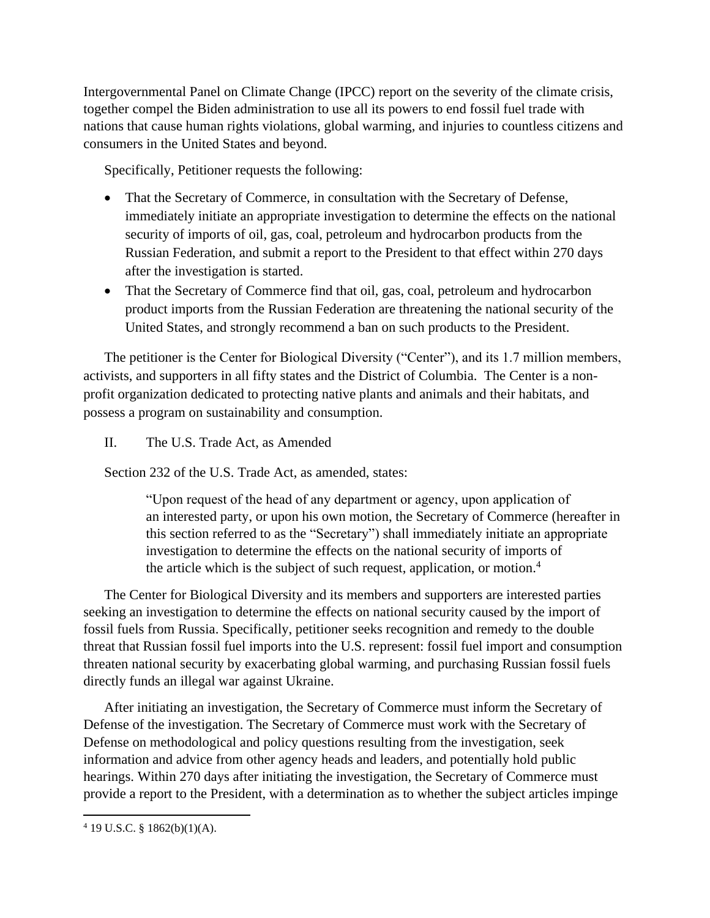Intergovernmental Panel on Climate Change (IPCC) report on the severity of the climate crisis, together compel the Biden administration to use all its powers to end fossil fuel trade with nations that cause human rights violations, global warming, and injuries to countless citizens and consumers in the United States and beyond.

Specifically, Petitioner requests the following:

- That the Secretary of Commerce, in consultation with the Secretary of Defense, immediately initiate an appropriate investigation to determine the effects on the national security of imports of oil, gas, coal, petroleum and hydrocarbon products from the Russian Federation, and submit a report to the President to that effect within 270 days after the investigation is started.
- That the Secretary of Commerce find that oil, gas, coal, petroleum and hydrocarbon product imports from the Russian Federation are threatening the national security of the United States, and strongly recommend a ban on such products to the President.

The petitioner is the Center for Biological Diversity ("Center"), and its 1.7 million members, activists, and supporters in all fifty states and the District of Columbia. The Center is a nonprofit organization dedicated to protecting native plants and animals and their habitats, and possess a program on sustainability and consumption.

II. The U.S. Trade Act, as Amended

Section 232 of the U.S. Trade Act, as amended, states:

"Upon request of the head of any department or agency, upon application of an interested party, or upon his own motion, the Secretary of Commerce (hereafter in this section referred to as the "Secretary") shall immediately initiate an appropriate investigation to determine the effects on the national security of imports of the article which is the subject of such request, application, or motion.<sup>4</sup>

The Center for Biological Diversity and its members and supporters are interested parties seeking an investigation to determine the effects on national security caused by the import of fossil fuels from Russia. Specifically, petitioner seeks recognition and remedy to the double threat that Russian fossil fuel imports into the U.S. represent: fossil fuel import and consumption threaten national security by exacerbating global warming, and purchasing Russian fossil fuels directly funds an illegal war against Ukraine.

After initiating an investigation, the Secretary of Commerce must inform the Secretary of Defense of the investigation. The Secretary of Commerce must work with the Secretary of Defense on methodological and policy questions resulting from the investigation, seek information and advice from other agency heads and leaders, and potentially hold public hearings. Within 270 days after initiating the investigation, the Secretary of Commerce must provide a report to the President, with a determination as to whether the subject articles impinge

 $4$  19 U.S.C. § 1862(b)(1)(A).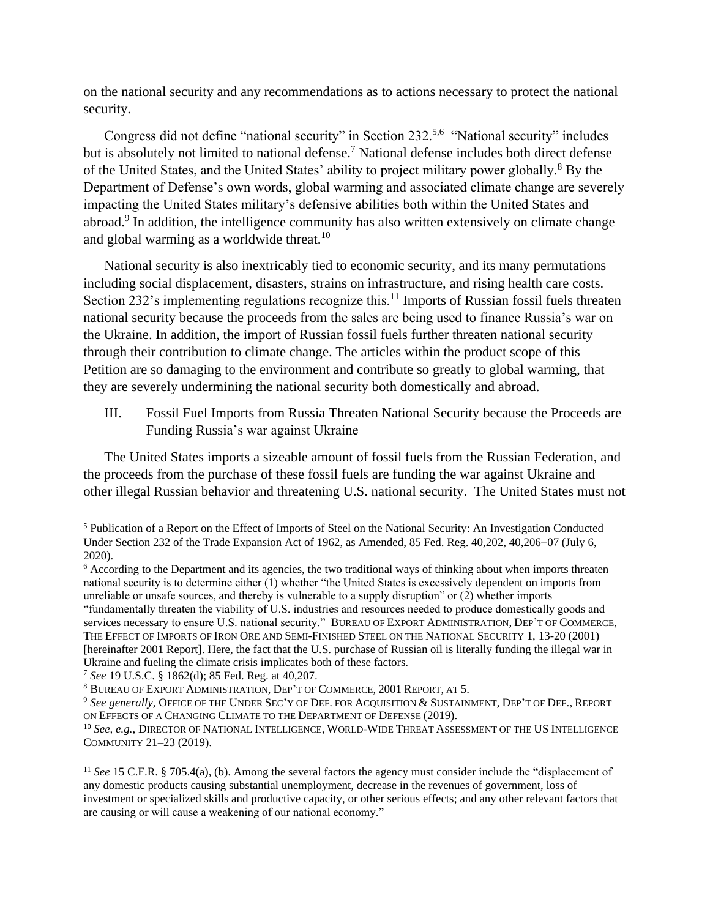on the national security and any recommendations as to actions necessary to protect the national security.

Congress did not define "national security" in Section 232.<sup>5,6</sup> "National security" includes but is absolutely not limited to national defense.<sup>7</sup> National defense includes both direct defense of the United States, and the United States' ability to project military power globally.<sup>8</sup> By the Department of Defense's own words, global warming and associated climate change are severely impacting the United States military's defensive abilities both within the United States and abroad.<sup>9</sup> In addition, the intelligence community has also written extensively on climate change and global warming as a worldwide threat.<sup>10</sup>

National security is also inextricably tied to economic security, and its many permutations including social displacement, disasters, strains on infrastructure, and rising health care costs. Section 232's implementing regulations recognize this.<sup>11</sup> Imports of Russian fossil fuels threaten national security because the proceeds from the sales are being used to finance Russia's war on the Ukraine. In addition, the import of Russian fossil fuels further threaten national security through their contribution to climate change. The articles within the product scope of this Petition are so damaging to the environment and contribute so greatly to global warming, that they are severely undermining the national security both domestically and abroad.

III. Fossil Fuel Imports from Russia Threaten National Security because the Proceeds are Funding Russia's war against Ukraine

The United States imports a sizeable amount of fossil fuels from the Russian Federation, and the proceeds from the purchase of these fossil fuels are funding the war against Ukraine and other illegal Russian behavior and threatening U.S. national security. The United States must not

<sup>7</sup> *See* 19 U.S.C. § 1862(d); 85 Fed. Reg. at 40,207.

<sup>5</sup> Publication of a Report on the Effect of Imports of Steel on the National Security: An Investigation Conducted Under Section 232 of the Trade Expansion Act of 1962, as Amended, 85 Fed. Reg. 40,202, 40,206−07 (July 6, 2020).

<sup>&</sup>lt;sup>6</sup> According to the Department and its agencies, the two traditional ways of thinking about when imports threaten national security is to determine either (1) whether "the United States is excessively dependent on imports from unreliable or unsafe sources, and thereby is vulnerable to a supply disruption" or (2) whether imports "fundamentally threaten the viability of U.S. industries and resources needed to produce domestically goods and services necessary to ensure U.S. national security." BUREAU OF EXPORT ADMINISTRATION, DEP'T OF COMMERCE, THE EFFECT OF IMPORTS OF IRON ORE AND SEMI-FINISHED STEEL ON THE NATIONAL SECURITY 1, 13-20 (2001) [hereinafter 2001 Report]. Here, the fact that the U.S. purchase of Russian oil is literally funding the illegal war in Ukraine and fueling the climate crisis implicates both of these factors.

<sup>8</sup> BUREAU OF EXPORT ADMINISTRATION, DEP'T OF COMMERCE, 2001 REPORT, AT 5.

<sup>9</sup> *See generally*, OFFICE OF THE UNDER SEC'Y OF DEF. FOR ACQUISITION & SUSTAINMENT, DEP'T OF DEF., REPORT ON EFFECTS OF A CHANGING CLIMATE TO THE DEPARTMENT OF DEFENSE (2019).

<sup>10</sup> *See, e.g.*, DIRECTOR OF NATIONAL INTELLIGENCE, WORLD-WIDE THREAT ASSESSMENT OF THE US INTELLIGENCE COMMUNITY 21–23 (2019).

<sup>11</sup> *See* 15 C.F.R. § 705.4(a), (b). Among the several factors the agency must consider include the "displacement of any domestic products causing substantial unemployment, decrease in the revenues of government, loss of investment or specialized skills and productive capacity, or other serious effects; and any other relevant factors that are causing or will cause a weakening of our national economy."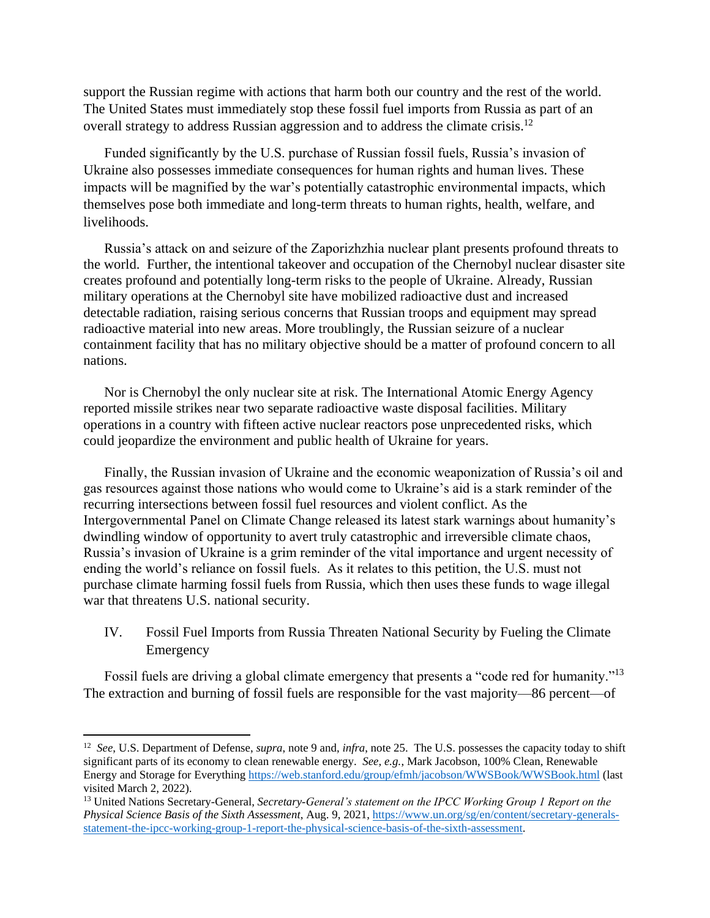support the Russian regime with actions that harm both our country and the rest of the world. The United States must immediately stop these fossil fuel imports from Russia as part of an overall strategy to address Russian aggression and to address the climate crisis.<sup>12</sup>

Funded significantly by the U.S. purchase of Russian fossil fuels, Russia's invasion of Ukraine also possesses immediate consequences for human rights and human lives. These impacts will be magnified by the war's potentially catastrophic environmental impacts, which themselves pose both immediate and long-term threats to human rights, health, welfare, and livelihoods.

Russia's attack on and seizure of the Zaporizhzhia nuclear plant presents profound threats to the world. Further, the intentional takeover and occupation of the Chernobyl nuclear disaster site creates profound and potentially long-term risks to the people of Ukraine. Already, Russian military operations at the Chernobyl site have mobilized radioactive dust and increased detectable radiation, raising serious concerns that Russian troops and equipment may spread radioactive material into new areas. More troublingly, the Russian seizure of a nuclear containment facility that has no military objective should be a matter of profound concern to all nations.

Nor is Chernobyl the only nuclear site at risk. The International Atomic Energy Agency reported missile strikes near [two separate radioactive waste disposal facilities.](https://www.iaea.org/newscenter/pressreleases/update-3-iaea-director-general-statement-on-situation-in-ukraine) Military operations in a country with fifteen active nuclear reactors pose unprecedented risks, which could jeopardize the environment and public health of Ukraine for years.

Finally, the Russian invasion of Ukraine and the economic weaponization of Russia's oil and gas resources against those nations who would come to Ukraine's aid is a stark reminder of the recurring intersections between fossil fuel resources and violent conflict. As the Intergovernmental Panel on Climate Change released its latest stark warnings about humanity's dwindling window of opportunity to avert truly catastrophic and irreversible climate chaos, Russia's invasion of Ukraine is a grim reminder of the vital importance and urgent necessity of ending the world's reliance on fossil fuels. As it relates to this petition, the U.S. must not purchase climate harming fossil fuels from Russia, which then uses these funds to wage illegal war that threatens U.S. national security.

## IV. Fossil Fuel Imports from Russia Threaten National Security by Fueling the Climate Emergency

Fossil fuels are driving a global climate emergency that presents a "code red for humanity."<sup>13</sup> The extraction and burning of fossil fuels are responsible for the vast majority—86 percent—of

<sup>12</sup> *See*, U.S. Department of Defense, *supra*, note 9 and, *infra*, note 25. The U.S. possesses the capacity today to shift significant parts of its economy to clean renewable energy. *See, e.g.*, Mark Jacobson, 100% Clean, Renewable Energy and Storage for Everything<https://web.stanford.edu/group/efmh/jacobson/WWSBook/WWSBook.html> (last visited March 2, 2022).

<sup>13</sup> United Nations Secretary-General, *Secretary-General's statement on the IPCC Working Group 1 Report on the Physical Science Basis of the Sixth Assessment*, Aug. 9, 2021, [https://www.un.org/sg/en/content/secretary-generals](https://www.un.org/sg/en/content/secretary-generals-statement-the-ipcc-working-group-1-report-the-physical-science-basis-of-the-sixth-assessment)[statement-the-ipcc-working-group-1-report-the-physical-science-basis-of-the-sixth-assessment.](https://www.un.org/sg/en/content/secretary-generals-statement-the-ipcc-working-group-1-report-the-physical-science-basis-of-the-sixth-assessment)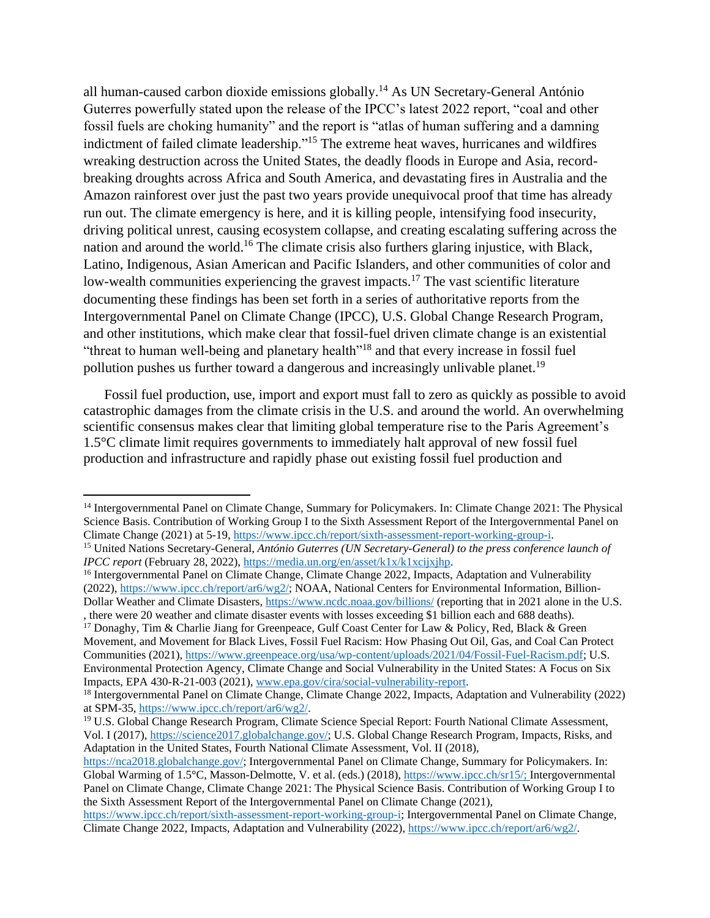all human-caused carbon dioxide emissions globally.<sup>14</sup> As UN Secretary-General António Guterres powerfully stated upon the release of the IPCC's latest 2022 report, "coal and other fossil fuels are choking humanity" and the report is "atlas of human suffering and a damning indictment of failed climate leadership."<sup>15</sup> The extreme heat waves, hurricanes and wildfires wreaking destruction across the United States, the deadly floods in Europe and Asia, recordbreaking droughts across Africa and South America, and devastating fires in Australia and the Amazon rainforest over just the past two years provide unequivocal proof that time has already run out. The climate emergency is here, and it is killing people, intensifying food insecurity, driving political unrest, causing ecosystem collapse, and creating escalating suffering across the nation and around the world.<sup>16</sup> The climate crisis also furthers glaring injustice, with Black, Latino, Indigenous, Asian American and Pacific Islanders, and other communities of color and low-wealth communities experiencing the gravest impacts.<sup>17</sup> The vast scientific literature documenting these findings has been set forth in a series of authoritative reports from the Intergovernmental Panel on Climate Change (IPCC), U.S. Global Change Research Program, and other institutions, which make clear that fossil-fuel driven climate change is an existential "threat to human well-being and planetary health"<sup>18</sup> and that every increase in fossil fuel pollution pushes us further toward a dangerous and increasingly unlivable planet.<sup>19</sup>

Fossil fuel production, use, import and export must fall to zero as quickly as possible to avoid catastrophic damages from the climate crisis in the U.S. and around the world. An overwhelming scientific consensus makes clear that limiting global temperature rise to the Paris Agreement's 1.5°C climate limit requires governments to immediately halt approval of new fossil fuel production and infrastructure and rapidly phase out existing fossil fuel production and

<sup>17</sup> Donaghy, Tim & Charlie Jiang for Greenpeace, Gulf Coast Center for Law & Policy, Red, Black & Green Movement, and Movement for Black Lives, Fossil Fuel Racism: How Phasing Out Oil, Gas, and Coal Can Protect Communities (2021), [https://www.greenpeace.org/usa/wp-content/uploads/2021/04/Fossil-Fuel-Racism.pdf;](https://www.greenpeace.org/usa/wp-content/uploads/2021/04/Fossil-Fuel-Racism.pdf) U.S. Environmental Protection Agency, Climate Change and Social Vulnerability in the United States: A Focus on Six Impacts, EPA 430-R-21-003 (2021), [www.epa.gov/cira/social-vulnerability-report.](http://www.epa.gov/cira/social-vulnerability-report)

<sup>14</sup> Intergovernmental Panel on Climate Change, Summary for Policymakers. In: Climate Change 2021: The Physical Science Basis. Contribution of Working Group I to the Sixth Assessment Report of the Intergovernmental Panel on Climate Change (2021) at 5-19, [https://www.ipcc.ch/report/sixth-assessment-report-working-group-i.](https://www.ipcc.ch/report/sixth-assessment-report-working-group-i)

<sup>15</sup> United Nations Secretary-General, *António Guterres (UN Secretary-General) to the press conference launch of IPCC report* (February 28, 2022), [https://media.un.org/en/asset/k1x/k1xcijxjhp.](https://media.un.org/en/asset/k1x/k1xcijxjhp)

<sup>&</sup>lt;sup>16</sup> Intergovernmental Panel on Climate Change, Climate Change 2022, Impacts, Adaptation and Vulnerability (2022)[, https://www.ipcc.ch/report/ar6/wg2/;](https://www.ipcc.ch/report/ar6/wg2/) NOAA, National Centers for Environmental Information, Billion-Dollar Weather and Climate Disasters,<https://www.ncdc.noaa.gov/billions/> (reporting that in 2021 alone in the U.S. , there were 20 weather and climate disaster events with losses exceeding \$1 billion each and 688 deaths).

<sup>18</sup> Intergovernmental Panel on Climate Change, Climate Change 2022, Impacts, Adaptation and Vulnerability (2022) at SPM-35, [https://www.ipcc.ch/report/ar6/wg2/.](https://www.ipcc.ch/report/ar6/wg2/)

<sup>19</sup> U.S. Global Change Research Program, Climate Science Special Report: Fourth National Climate Assessment, Vol. I (2017), [https://science2017.globalchange.gov/;](https://science2017.globalchange.gov/) U.S. Global Change Research Program, Impacts, Risks, and Adaptation in the United States, Fourth National Climate Assessment, Vol. II (2018),

[https://nca2018.globalchange.gov/;](https://nca2018.globalchange.gov/) Intergovernmental Panel on Climate Change, Summary for Policymakers. In: Global Warming of 1.5°C, Masson-Delmotte, V. et al. (eds.) (2018), [https://www.ipcc.ch/sr15/;](https://www.ipcc.ch/sr15/) Intergovernmental Panel on Climate Change, Climate Change 2021: The Physical Science Basis. Contribution of Working Group I to the Sixth Assessment Report of the Intergovernmental Panel on Climate Change (2021),

[https://www.ipcc.ch/report/sixth-assessment-report-working-group-i;](https://www.ipcc.ch/report/sixth-assessment-report-working-group-i) Intergovernmental Panel on Climate Change, Climate Change 2022, Impacts, Adaptation and Vulnerability (2022), [https://www.ipcc.ch/report/ar6/wg2/.](https://www.ipcc.ch/report/ar6/wg2/)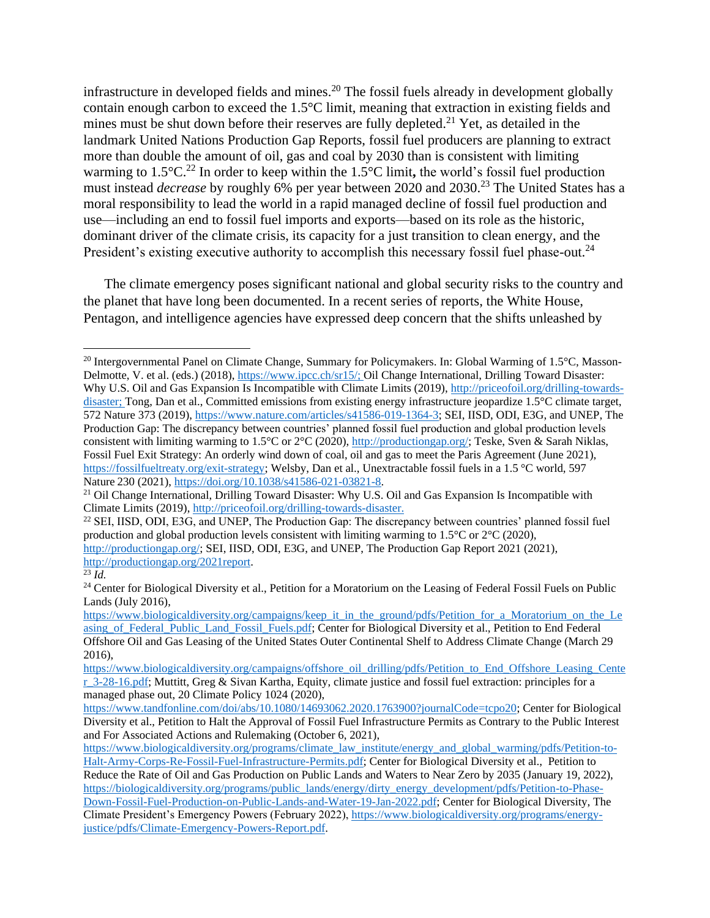infrastructure in developed fields and mines.<sup>20</sup> The fossil fuels already in development globally contain enough carbon to exceed the 1.5°C limit, meaning that extraction in existing fields and mines must be shut down before their reserves are fully depleted.<sup>21</sup> Yet, as detailed in the landmark United Nations Production Gap Reports, fossil fuel producers are planning to extract more than double the amount of oil, gas and coal by 2030 than is consistent with limiting warming to 1.5°C.<sup>22</sup> In order to keep within the 1.5°C limit, the world's fossil fuel production must instead *decrease* by roughly 6% per year between 2020 and 2030. <sup>23</sup> The United States has a moral responsibility to lead the world in a rapid managed decline of fossil fuel production and use—including an end to fossil fuel imports and exports—based on its role as the historic, dominant driver of the climate crisis, its capacity for a just transition to clean energy, and the President's existing executive authority to accomplish this necessary fossil fuel phase-out.<sup>24</sup>

The climate emergency poses significant national and global security risks to the country and the planet that have long been documented. In a recent series of reports, the White House, Pentagon, and intelligence agencies have expressed deep concern that the shifts unleashed by

<sup>&</sup>lt;sup>20</sup> Intergovernmental Panel on Climate Change, Summary for Policymakers. In: Global Warming of 1.5<sup>o</sup>C, MassonDelmotte, V. et al. (eds.) (2018), [https://www.ipcc.ch/sr15/;](https://www.ipcc.ch/sr15/) Oil Change International, Drilling Toward Disaster: Why U.S. Oil and Gas Expansion Is Incompatible with Climate Limits (2019), [http://priceofoil.org/drilling-towards](http://priceofoil.org/drilling-towards-disaster)[disaster;](http://priceofoil.org/drilling-towards-disaster) Tong, Dan et al., Committed emissions from existing energy infrastructure jeopardize 1.5°C climate target, 572 Nature 373 (2019), [https://www.nature.com/articles/s41586-019-1364-3;](https://www.nature.com/articles/s41586-019-1364-3) SEI, IISD, ODI, E3G, and UNEP, The Production Gap: The discrepancy between countries' planned fossil fuel production and global production levels consistent with limiting warming to 1.5°C or 2°C (2020)[, http://productiongap.org/;](http://productiongap.org/) Teske, Sven & Sarah Niklas, Fossil Fuel Exit Strategy: An orderly wind down of coal, oil and gas to meet the Paris Agreement (June 2021), [https://fossilfueltreaty.org/exit-strategy;](https://fossilfueltreaty.org/exit-strategy) Welsby, Dan et al., Unextractable fossil fuels in a 1.5 °C world, 597 Nature 230 (2021), [https://doi.org/10.1038/s41586-021-03821-8.](https://doi.org/10.1038/s41586-021-03821-8)

<sup>&</sup>lt;sup>21</sup> Oil Change International, Drilling Toward Disaster: Why U.S. Oil and Gas Expansion Is Incompatible with Climate Limits (2019)[, http://priceofoil.org/drilling-towards-disaster.](http://priceofoil.org/drilling-towards-disaster)

<sup>22</sup> SEI, IISD, ODI, E3G, and UNEP, The Production Gap: The discrepancy between countries' planned fossil fuel production and global production levels consistent with limiting warming to  $1.5^{\circ}$ C or  $2^{\circ}$ C (2020), [http://productiongap.org/;](http://productiongap.org/) SEI, IISD, ODI, E3G, and UNEP, The Production Gap Report 2021 (2021), [http://productiongap.org/2021report.](http://productiongap.org/2021report)

 $\overline{\overline{23} \, Id.}$ 

<sup>&</sup>lt;sup>24</sup> Center for Biological Diversity et al., Petition for a Moratorium on the Leasing of Federal Fossil Fuels on Public Lands (July 2016),

[https://www.biologicaldiversity.org/campaigns/keep\\_it\\_in\\_the\\_ground/pdfs/Petition\\_for\\_a\\_Moratorium\\_on\\_the\\_Le](https://www.biologicaldiversity.org/campaigns/keep_it_in_the_ground/pdfs/Petition_for_a_Moratorium_on_the_Leasing_of_Federal_Public_Land_Fossil_Fuels.pdf) [asing\\_of\\_Federal\\_Public\\_Land\\_Fossil\\_Fuels.pdf;](https://www.biologicaldiversity.org/campaigns/keep_it_in_the_ground/pdfs/Petition_for_a_Moratorium_on_the_Leasing_of_Federal_Public_Land_Fossil_Fuels.pdf) Center for Biological Diversity et al., Petition to End Federal Offshore Oil and Gas Leasing of the United States Outer Continental Shelf to Address Climate Change (March 29 2016),

[https://www.biologicaldiversity.org/campaigns/offshore\\_oil\\_drilling/pdfs/Petition\\_to\\_End\\_Offshore\\_Leasing\\_Cente](https://www.biologicaldiversity.org/campaigns/offshore_oil_drilling/pdfs/Petition_to_End_Offshore_Leasing_Center_3-28-16.pdf) [r\\_3-28-16.pdf;](https://www.biologicaldiversity.org/campaigns/offshore_oil_drilling/pdfs/Petition_to_End_Offshore_Leasing_Center_3-28-16.pdf) Muttitt, Greg & Sivan Kartha, Equity, climate justice and fossil fuel extraction: principles for a managed phase out, 20 Climate Policy 1024 (2020),

[https://www.tandfonline.com/doi/abs/10.1080/14693062.2020.1763900?journalCode=tcpo20;](https://www.tandfonline.com/doi/abs/10.1080/14693062.2020.1763900?journalCode=tcpo20) Center for Biological Diversity et al., Petition to Halt the Approval of Fossil Fuel Infrastructure Permits as Contrary to the Public Interest and For Associated Actions and Rulemaking (October 6, 2021),

[https://www.biologicaldiversity.org/programs/climate\\_law\\_institute/energy\\_and\\_global\\_warming/pdfs/Petition-to-](https://www.biologicaldiversity.org/programs/climate_law_institute/energy_and_global_warming/pdfs/Petition-to-Halt-Army-Corps-Re-Fossil-Fuel-Infrastructure-Permits.pdf)[Halt-Army-Corps-Re-Fossil-Fuel-Infrastructure-Permits.pdf;](https://www.biologicaldiversity.org/programs/climate_law_institute/energy_and_global_warming/pdfs/Petition-to-Halt-Army-Corps-Re-Fossil-Fuel-Infrastructure-Permits.pdf) Center for Biological Diversity et al., Petition to Reduce the Rate of Oil and Gas Production on Public Lands and Waters to Near Zero by 2035 (January 19, 2022), [https://biologicaldiversity.org/programs/public\\_lands/energy/dirty\\_energy\\_development/pdfs/Petition-to-Phase-](https://biologicaldiversity.org/programs/public_lands/energy/dirty_energy_development/pdfs/Petition-to-Phase-Down-Fossil-Fuel-Production-on-Public-Lands-and-Water-19-Jan-2022.pdf)[Down-Fossil-Fuel-Production-on-Public-Lands-and-Water-19-Jan-2022.pdf;](https://biologicaldiversity.org/programs/public_lands/energy/dirty_energy_development/pdfs/Petition-to-Phase-Down-Fossil-Fuel-Production-on-Public-Lands-and-Water-19-Jan-2022.pdf) Center for Biological Diversity, The Climate President's Emergency Powers (February 2022), [https://www.biologicaldiversity.org/programs/energy](https://www.biologicaldiversity.org/programs/energy-justice/pdfs/Climate-Emergency-Powers-Report.pdf)[justice/pdfs/Climate-Emergency-Powers-Report.pdf.](https://www.biologicaldiversity.org/programs/energy-justice/pdfs/Climate-Emergency-Powers-Report.pdf)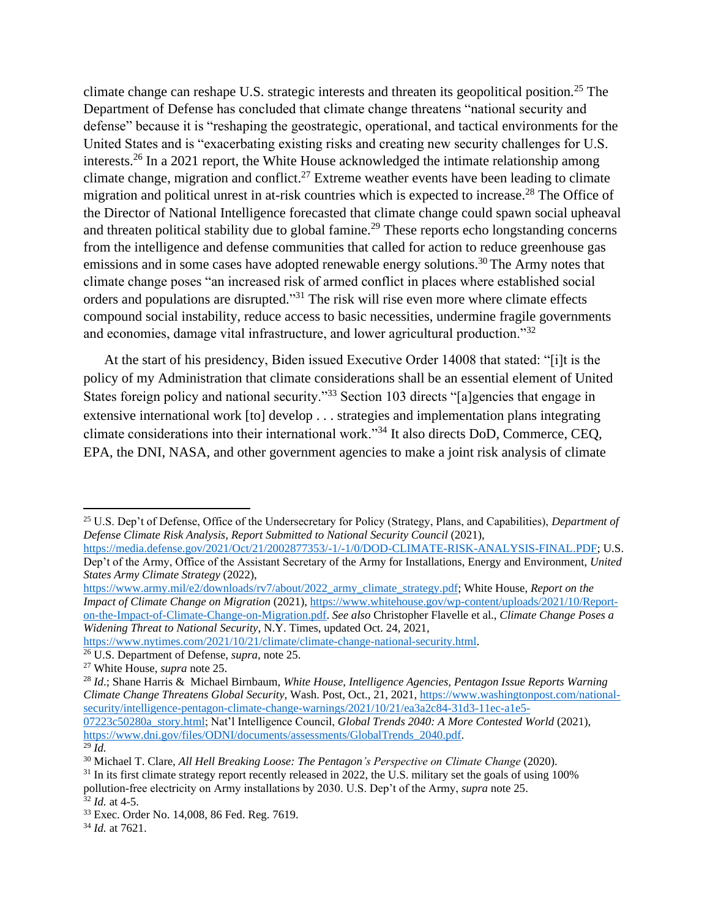climate change can reshape U.S. strategic interests and threaten its geopolitical position.<sup>25</sup> The Department of Defense has concluded that climate change threatens "national security and defense" because it is "reshaping the geostrategic, operational, and tactical environments for the United States and is "exacerbating existing risks and creating new security challenges for U.S. interests.<sup>26</sup> In a 2021 report, the White House acknowledged the intimate relationship among climate change, migration and conflict.<sup>27</sup> Extreme weather events have been leading to climate migration and political unrest in at-risk countries which is expected to increase.<sup>28</sup> The Office of the Director of National Intelligence forecasted that climate change could spawn social upheaval and threaten political stability due to global famine.<sup>29</sup> These reports echo longstanding concerns from the intelligence and defense communities that called for action to reduce greenhouse gas emissions and in some cases have adopted renewable energy solutions.<sup>30</sup> The Army notes that climate change poses "an increased risk of armed conflict in places where established social orders and populations are disrupted."<sup>31</sup> The risk will rise even more where climate effects compound social instability, reduce access to basic necessities, undermine fragile governments and economies, damage vital infrastructure, and lower agricultural production."<sup>32</sup>

At the start of his presidency, Biden issued Executive Order 14008 that stated: "[i]t is the policy of my Administration that climate considerations shall be an essential element of United States foreign policy and national security."<sup>33</sup> Section 103 directs "[a]gencies that engage in extensive international work [to] develop . . . strategies and implementation plans integrating climate considerations into their international work."<sup>34</sup> It also directs DoD, Commerce, CEQ, EPA, the DNI, NASA, and other government agencies to make a joint risk analysis of climate

[https://media.defense.gov/2021/Oct/21/2002877353/-1/-1/0/DOD-CLIMATE-RISK-ANALYSIS-FINAL.PDF;](https://media.defense.gov/2021/Oct/21/2002877353/-1/-1/0/DOD-CLIMATE-RISK-ANALYSIS-FINAL.PDF) U.S. Dep't of the Army, Office of the Assistant Secretary of the Army for Installations, Energy and Environment, *United States Army Climate Strategy* (2022),

[https://www.army.mil/e2/downloads/rv7/about/2022\\_army\\_climate\\_strategy.pdf;](https://www.army.mil/e2/downloads/rv7/about/2022_army_climate_strategy.pdf) White House, *Report on the Impact of Climate Change on Migration* (2021)[, https://www.whitehouse.gov/wp-content/uploads/2021/10/Report](https://www.whitehouse.gov/wp-content/uploads/2021/10/Report-on-the-Impact-of-Climate-Change-on-Migration.pdf)[on-the-Impact-of-Climate-Change-on-Migration.pdf.](https://www.whitehouse.gov/wp-content/uploads/2021/10/Report-on-the-Impact-of-Climate-Change-on-Migration.pdf) *See also* Christopher Flavelle et al., *Climate Change Poses a Widening Threat to National Security*, N.Y. Times, updated Oct. 24, 2021,

[https://www.nytimes.com/2021/10/21/climate/climate-change-national-security.html.](https://www.nytimes.com/2021/10/21/climate/climate-change-national-security.html)

<sup>25</sup> U.S. Dep't of Defense, Office of the Undersecretary for Policy (Strategy, Plans, and Capabilities), *Department of Defense Climate Risk Analysis, Report Submitted to National Security Council* (2021),

<sup>26</sup> U.S. Department of Defense, *supra*, note 25.

<sup>27</sup> White House, *supra* note 25.

<sup>28</sup> *Id*.; Shane Harris & Michael Birnbaum, *White House, Intelligence Agencies, Pentagon Issue Reports Warning Climate Change Threatens Global Security*, Wash. Post, Oct., 21, 2021, [https://www.washingtonpost.com/national](https://www.washingtonpost.com/national-security/intelligence-pentagon-climate-change-warnings/2021/10/21/ea3a2c84-31d3-11ec-a1e5-07223c50280a_story.html)[security/intelligence-pentagon-climate-change-warnings/2021/10/21/ea3a2c84-31d3-11ec-a1e5-](https://www.washingtonpost.com/national-security/intelligence-pentagon-climate-change-warnings/2021/10/21/ea3a2c84-31d3-11ec-a1e5-07223c50280a_story.html) [07223c50280a\\_story.html;](https://www.washingtonpost.com/national-security/intelligence-pentagon-climate-change-warnings/2021/10/21/ea3a2c84-31d3-11ec-a1e5-07223c50280a_story.html) Nat'l Intelligence Council, *Global Trends 2040: A More Contested World* (2021), [https://www.dni.gov/files/ODNI/documents/assessments/GlobalTrends\\_2040.pdf.](https://www.dni.gov/files/ODNI/documents/assessments/GlobalTrends_2040.pdf)  $^{29}$   $\tilde{I}$ *d*.

<sup>30</sup> Michael T. Clare, *All Hell Breaking Loose: The Pentagon's Perspective on Climate Change* (2020).

 $31$  In its first climate strategy report recently released in 2022, the U.S. military set the goals of using 100% pollution-free electricity on Army installations by 2030. U.S. Dep't of the Army, *supra* note 25.

 $32$  *Id.* at 4-5.

<sup>33</sup> Exec. Order No. 14,008, 86 Fed. Reg. 7619.

<sup>34</sup> *Id.* at 7621.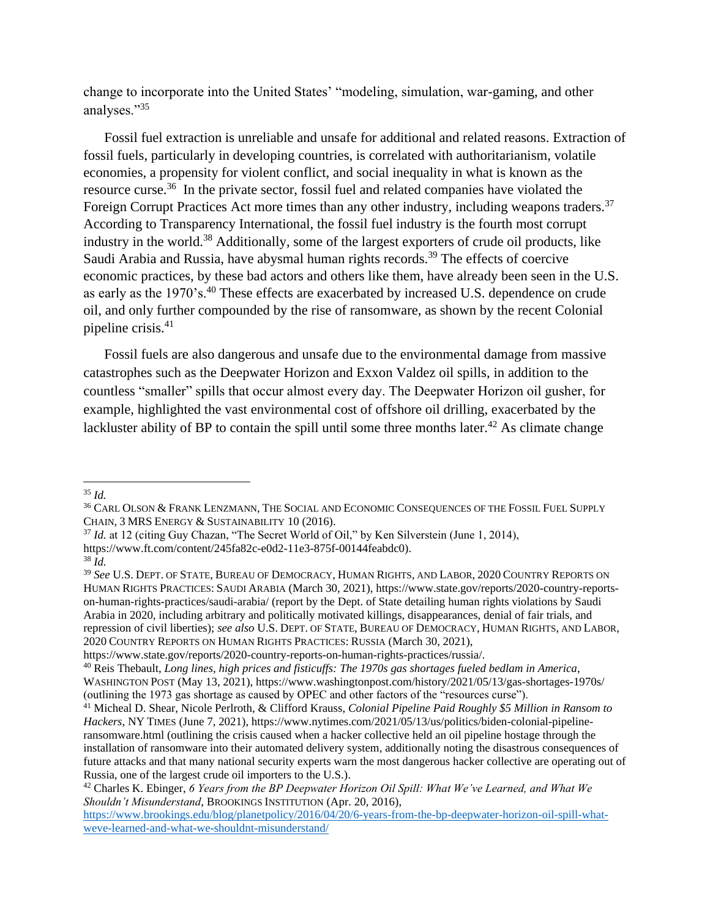change to incorporate into the United States' "modeling, simulation, war-gaming, and other analyses."<sup>35</sup>

Fossil fuel extraction is unreliable and unsafe for additional and related reasons. Extraction of fossil fuels, particularly in developing countries, is correlated with authoritarianism, volatile economies, a propensity for violent conflict, and social inequality in what is known as the resource curse.<sup>36</sup> In the private sector, fossil fuel and related companies have violated the Foreign Corrupt Practices Act more times than any other industry, including weapons traders.<sup>37</sup> According to Transparency International, the fossil fuel industry is the fourth most corrupt industry in the world.<sup>38</sup> Additionally, some of the largest exporters of crude oil products, like Saudi Arabia and Russia, have abysmal human rights records.<sup>39</sup> The effects of coercive economic practices, by these bad actors and others like them, have already been seen in the U.S. as early as the 1970's.<sup>40</sup> These effects are exacerbated by increased U.S. dependence on crude oil, and only further compounded by the rise of ransomware, as shown by the recent Colonial pipeline crisis. $41$ 

Fossil fuels are also dangerous and unsafe due to the environmental damage from massive catastrophes such as the Deepwater Horizon and Exxon Valdez oil spills, in addition to the countless "smaller" spills that occur almost every day. The Deepwater Horizon oil gusher, for example, highlighted the vast environmental cost of offshore oil drilling, exacerbated by the lackluster ability of BP to contain the spill until some three months later.<sup>42</sup> As climate change

<sup>35</sup> *Id.*

<sup>36</sup> CARL OLSON & FRANK LENZMANN, THE SOCIAL AND ECONOMIC CONSEQUENCES OF THE FOSSIL FUEL SUPPLY CHAIN, 3 MRS ENERGY & SUSTAINABILITY 10 (2016).

<sup>37</sup> *Id.* at 12 (citing Guy Chazan, "The Secret World of Oil," by Ken Silverstein (June 1, 2014),

https://www.ft.com/content/245fa82c-e0d2-11e3-875f-00144feabdc0).

<sup>38</sup> *Id.*

<sup>39</sup> *See* U.S. DEPT. OF STATE, BUREAU OF DEMOCRACY, HUMAN RIGHTS, AND LABOR, 2020 COUNTRY REPORTS ON HUMAN RIGHTS PRACTICES: SAUDI ARABIA (March 30, 2021), https://www.state.gov/reports/2020-country-reportson-human-rights-practices/saudi-arabia/ (report by the Dept. of State detailing human rights violations by Saudi Arabia in 2020, including arbitrary and politically motivated killings, disappearances, denial of fair trials, and repression of civil liberties); *see also* U.S. DEPT. OF STATE, BUREAU OF DEMOCRACY, HUMAN RIGHTS, AND LABOR, 2020 COUNTRY REPORTS ON HUMAN RIGHTS PRACTICES: RUSSIA (March 30, 2021),

https://www.state.gov/reports/2020-country-reports-on-human-rights-practices/russia/.

<sup>40</sup> Reis Thebault, *Long lines, high prices and fisticuffs: The 1970s gas shortages fueled bedlam in America*, WASHINGTON POST (May 13, 2021), https://www.washingtonpost.com/history/2021/05/13/gas-shortages-1970s/ (outlining the 1973 gas shortage as caused by OPEC and other factors of the "resources curse").

<sup>41</sup> Micheal D. Shear, Nicole Perlroth, & Clifford Krauss, *Colonial Pipeline Paid Roughly \$5 Million in Ransom to Hackers*, NY TIMES (June 7, 2021), https://www.nytimes.com/2021/05/13/us/politics/biden-colonial-pipelineransomware.html (outlining the crisis caused when a hacker collective held an oil pipeline hostage through the installation of ransomware into their automated delivery system, additionally noting the disastrous consequences of future attacks and that many national security experts warn the most dangerous hacker collective are operating out of Russia, one of the largest crude oil importers to the U.S.).

<sup>42</sup> Charles K. Ebinger, *6 Years from the BP Deepwater Horizon Oil Spill: What We've Learned, and What We Shouldn't Misunderstand*, BROOKINGS INSTITUTION (Apr. 20, 2016),

[https://www.brookings.edu/blog/planetpolicy/2016/04/20/6-years-from-the-bp-deepwater-horizon-oil-spill-what](https://www.brookings.edu/blog/planetpolicy/2016/04/20/6-years-from-the-bp-deepwater-horizon-oil-spill-what-weve-learned-and-what-we-shouldnt-misunderstand/)[weve-learned-and-what-we-shouldnt-misunderstand/](https://www.brookings.edu/blog/planetpolicy/2016/04/20/6-years-from-the-bp-deepwater-horizon-oil-spill-what-weve-learned-and-what-we-shouldnt-misunderstand/)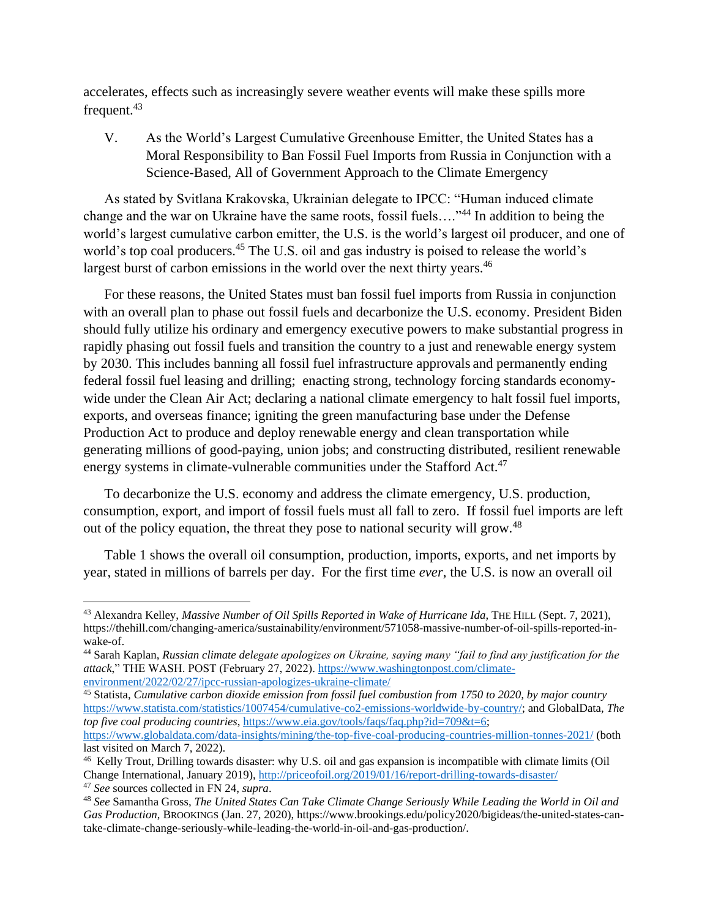accelerates, effects such as increasingly severe weather events will make these spills more frequent.<sup>43</sup>

V. As the World's Largest Cumulative Greenhouse Emitter, the United States has a Moral Responsibility to Ban Fossil Fuel Imports from Russia in Conjunction with a Science-Based, All of Government Approach to the Climate Emergency

As stated by Svitlana Krakovska, Ukrainian delegate to IPCC: "Human induced climate change and the war on Ukraine have the same roots, fossil fuels...."<sup>44</sup> In addition to being the world's largest cumulative carbon emitter, the U.S. is the world's largest oil producer, and one of world's top coal producers.<sup>45</sup> The U.S. oil and gas industry is poised to release the world's largest burst of carbon emissions in the world over the next thirty years.<sup>46</sup>

For these reasons, the United States must ban fossil fuel imports from Russia in conjunction with an overall plan to phase out fossil fuels and decarbonize the U.S. economy. President Biden should fully utilize his ordinary and emergency executive powers to make substantial progress in rapidly phasing out fossil fuels and transition the country to a just and renewable energy system by 2030. This includes banning all fossil fuel infrastructure approvals and permanently ending federal fossil fuel leasing and drilling; enacting strong, technology forcing standards economywide under the Clean Air Act; declaring a national climate emergency to halt fossil fuel imports, exports, and overseas finance; igniting the green manufacturing base under the Defense Production Act to produce and deploy renewable energy and clean transportation while generating millions of good-paying, union jobs; and constructing distributed, resilient renewable energy systems in climate-vulnerable communities under the Stafford Act.<sup>47</sup>

To decarbonize the U.S. economy and address the climate emergency, U.S. production, consumption, export, and import of fossil fuels must all fall to zero. If fossil fuel imports are left out of the policy equation, the threat they pose to national security will grow.<sup>48</sup>

Table 1 shows the overall oil consumption, production, imports, exports, and net imports by year, stated in millions of barrels per day. For the first time *ever*, the U.S. is now an overall oil

<sup>43</sup> Alexandra Kelley, *Massive Number of Oil Spills Reported in Wake of Hurricane Ida*, THE HILL (Sept. 7, 2021), https://thehill.com/changing-america/sustainability/environment/571058-massive-number-of-oil-spills-reported-inwake-of.

<sup>44</sup> Sarah Kaplan, *Russian climate delegate apologizes on Ukraine, saying many "fail to find any justification for the attack*," THE WASH. POST (February 27, 2022). [https://www.washingtonpost.com/climate](https://www.washingtonpost.com/climate-environment/2022/02/27/ipcc-russian-apologizes-ukraine-climate/)[environment/2022/02/27/ipcc-russian-apologizes-ukraine-climate/](https://www.washingtonpost.com/climate-environment/2022/02/27/ipcc-russian-apologizes-ukraine-climate/)

<sup>45</sup> Statista, *Cumulative carbon dioxide emission from fossil fuel combustion from 1750 to 2020, by major country* [https://www.statista.com/statistics/1007454/cumulative-co2-emissions-worldwide-by-country/;](https://www.statista.com/statistics/1007454/cumulative-co2-emissions-worldwide-by-country/) and GlobalData, *The top five coal producing countries*, [https://www.eia.gov/tools/faqs/faq.php?id=709&t=6;](https://www.eia.gov/tools/faqs/faq.php?id=709&t=6) <https://www.globaldata.com/data-insights/mining/the-top-five-coal-producing-countries-million-tonnes-2021/> (both last visited on March 7, 2022).

<sup>&</sup>lt;sup>46</sup> Kelly Trout, Drilling towards disaster: why U.S. oil and gas expansion is incompatible with climate limits (Oil Change International, January 2019),<http://priceofoil.org/2019/01/16/report-drilling-towards-disaster/>

<sup>47</sup> *See* sources collected in FN 24, *supra*.

<sup>48</sup> *See* Samantha Gross, *The United States Can Take Climate Change Seriously While Leading the World in Oil and Gas Production*, BROOKINGS (Jan. 27, 2020), https://www.brookings.edu/policy2020/bigideas/the-united-states-cantake-climate-change-seriously-while-leading-the-world-in-oil-and-gas-production/.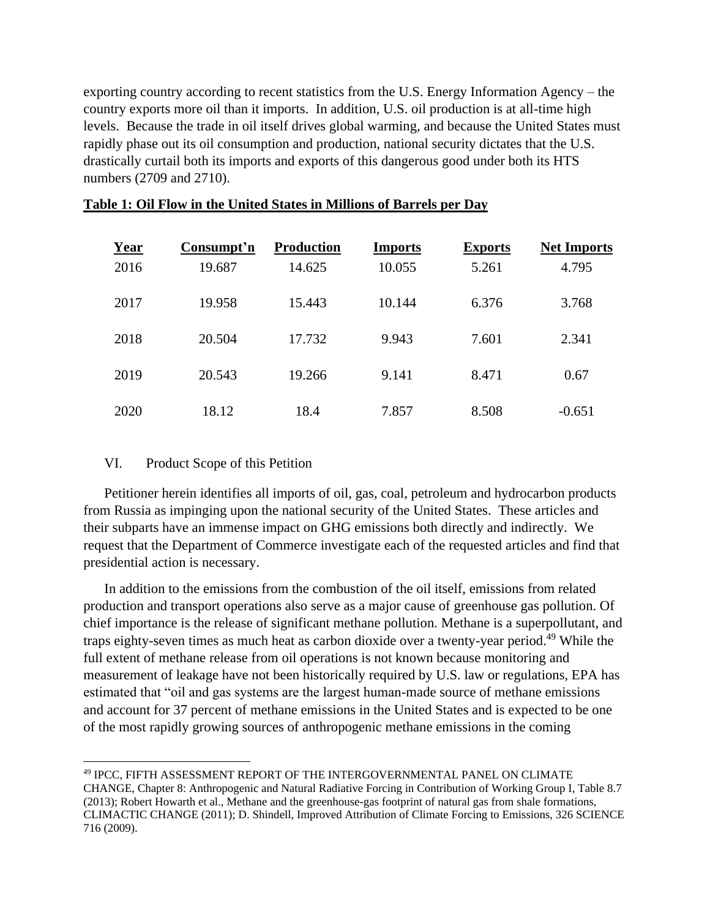exporting country according to recent statistics from the U.S. Energy Information Agency – the country exports more oil than it imports. In addition, U.S. oil production is at all-time high levels. Because the trade in oil itself drives global warming, and because the United States must rapidly phase out its oil consumption and production, national security dictates that the U.S. drastically curtail both its imports and exports of this dangerous good under both its HTS numbers (2709 and 2710).

| Year | Consumpt'n | <b>Production</b> | <b>Imports</b> | <b>Exports</b> | <b>Net Imports</b> |
|------|------------|-------------------|----------------|----------------|--------------------|
| 2016 | 19.687     | 14.625            | 10.055         | 5.261          | 4.795              |
| 2017 | 19.958     | 15.443            | 10.144         | 6.376          | 3.768              |
| 2018 | 20.504     | 17.732            | 9.943          | 7.601          | 2.341              |
| 2019 | 20.543     | 19.266            | 9.141          | 8.471          | 0.67               |
| 2020 | 18.12      | 18.4              | 7.857          | 8.508          | $-0.651$           |

## **Table 1: Oil Flow in the United States in Millions of Barrels per Day**

## VI. Product Scope of this Petition

Petitioner herein identifies all imports of oil, gas, coal, petroleum and hydrocarbon products from Russia as impinging upon the national security of the United States. These articles and their subparts have an immense impact on GHG emissions both directly and indirectly. We request that the Department of Commerce investigate each of the requested articles and find that presidential action is necessary.

In addition to the emissions from the combustion of the oil itself, emissions from related production and transport operations also serve as a major cause of greenhouse gas pollution. Of chief importance is the release of significant methane pollution. Methane is a superpollutant, and traps eighty-seven times as much heat as carbon dioxide over a twenty-year period.<sup>49</sup> While the full extent of methane release from oil operations is not known because monitoring and measurement of leakage have not been historically required by U.S. law or regulations, EPA has estimated that "oil and gas systems are the largest human-made source of methane emissions and account for 37 percent of methane emissions in the United States and is expected to be one of the most rapidly growing sources of anthropogenic methane emissions in the coming

<sup>49</sup> IPCC, FIFTH ASSESSMENT REPORT OF THE INTERGOVERNMENTAL PANEL ON CLIMATE CHANGE, Chapter 8: Anthropogenic and Natural Radiative Forcing in Contribution of Working Group I, Table 8.7 (2013); Robert Howarth et al., Methane and the greenhouse-gas footprint of natural gas from shale formations, CLIMACTIC CHANGE (2011); D. Shindell, Improved Attribution of Climate Forcing to Emissions, 326 SCIENCE 716 (2009).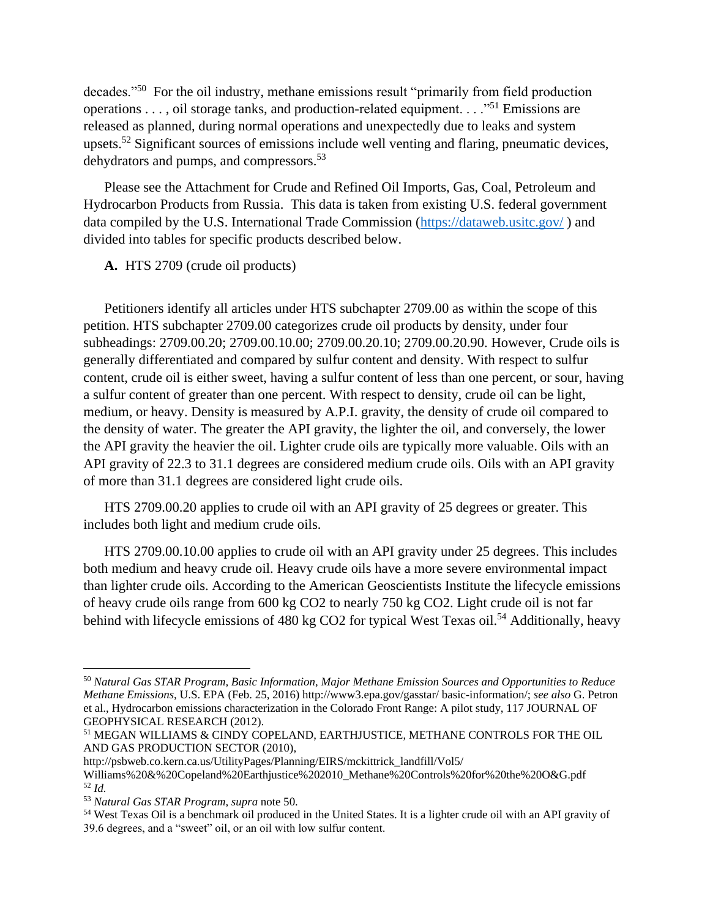decades."<sup>50</sup> For the oil industry, methane emissions result "primarily from field production operations . . . , oil storage tanks, and production-related equipment. . . . "<sup>51</sup> Emissions are released as planned, during normal operations and unexpectedly due to leaks and system upsets.<sup>52</sup> Significant sources of emissions include well venting and flaring, pneumatic devices, dehydrators and pumps, and compressors.<sup>53</sup>

Please see the Attachment for Crude and Refined Oil Imports, Gas, Coal, Petroleum and Hydrocarbon Products from Russia. This data is taken from existing U.S. federal government data compiled by the U.S. International Trade Commission [\(https://dataweb.usitc.gov/](https://dataweb.usitc.gov/) ) and divided into tables for specific products described below.

**A.** HTS 2709 (crude oil products)

Petitioners identify all articles under HTS subchapter 2709.00 as within the scope of this petition. HTS subchapter 2709.00 categorizes crude oil products by density, under four subheadings: 2709.00.20; 2709.00.10.00; 2709.00.20.10; 2709.00.20.90. However, Crude oils is generally differentiated and compared by sulfur content and density. With respect to sulfur content, crude oil is either sweet, having a sulfur content of less than one percent, or sour, having a sulfur content of greater than one percent. With respect to density, crude oil can be light, medium, or heavy. Density is measured by A.P.I. gravity, the density of crude oil compared to the density of water. The greater the API gravity, the lighter the oil, and conversely, the lower the API gravity the heavier the oil. Lighter crude oils are typically more valuable. Oils with an API gravity of 22.3 to 31.1 degrees are considered medium crude oils. Oils with an API gravity of more than 31.1 degrees are considered light crude oils.

HTS 2709.00.20 applies to crude oil with an API gravity of 25 degrees or greater. This includes both light and medium crude oils.

HTS 2709.00.10.00 applies to crude oil with an API gravity under 25 degrees. This includes both medium and heavy crude oil. Heavy crude oils have a more severe environmental impact than lighter crude oils. According to the American Geoscientists Institute the lifecycle emissions of heavy crude oils range from 600 kg CO2 to nearly 750 kg CO2. Light crude oil is not far behind with lifecycle emissions of 480 kg CO2 for typical West Texas oil.<sup>54</sup> Additionally, heavy

<sup>50</sup> *Natural Gas STAR Program, Basic Information, Major Methane Emission Sources and Opportunities to Reduce Methane Emissions*, U.S. EPA (Feb. 25, 2016) http://www3.epa.gov/gasstar/ basic-information/; *see also* G. Petron et al., Hydrocarbon emissions characterization in the Colorado Front Range: A pilot study, 117 JOURNAL OF GEOPHYSICAL RESEARCH (2012).

<sup>51</sup> MEGAN WILLIAMS & CINDY COPELAND, EARTHJUSTICE, METHANE CONTROLS FOR THE OIL AND GAS PRODUCTION SECTOR (2010),

http://psbweb.co.kern.ca.us/UtilityPages/Planning/EIRS/mckittrick\_landfill/Vol5/

Williams%20&%20Copeland%20Earthjustice%202010\_Methane%20Controls%20for%20the%20O&G.pdf <sup>52</sup> *Id.*

<sup>53</sup> *Natural Gas STAR Program*, *supra* note 50.

<sup>54</sup> West Texas Oil is a benchmark oil produced in the United States. It is a lighter crude oil with an API gravity of 39.6 degrees, and a "sweet" oil, or an oil with low sulfur content.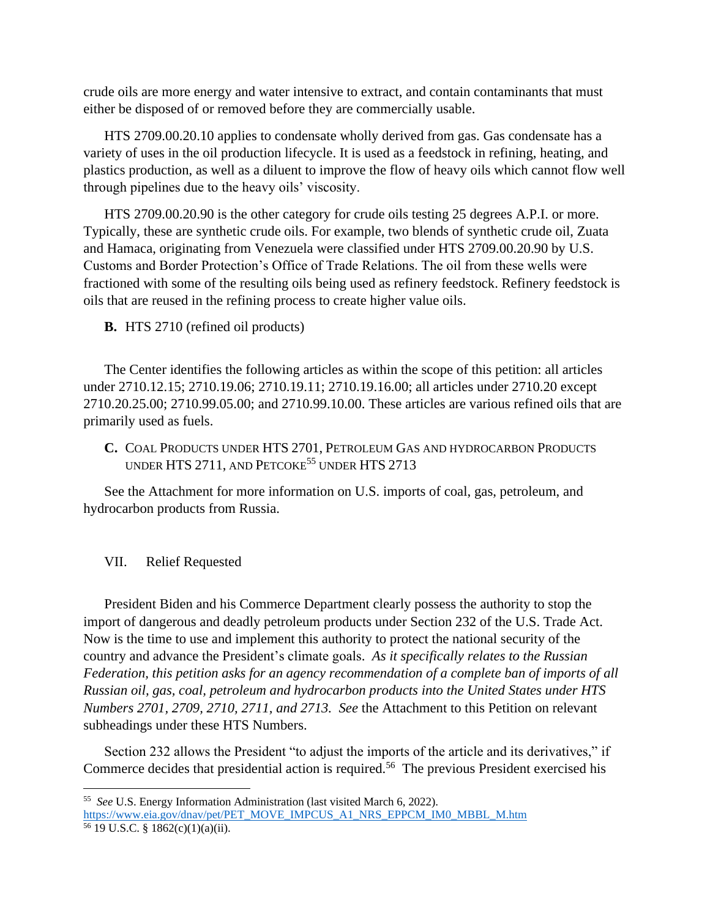crude oils are more energy and water intensive to extract, and contain contaminants that must either be disposed of or removed before they are commercially usable.

HTS 2709.00.20.10 applies to condensate wholly derived from gas. Gas condensate has a variety of uses in the oil production lifecycle. It is used as a feedstock in refining, heating, and plastics production, as well as a diluent to improve the flow of heavy oils which cannot flow well through pipelines due to the heavy oils' viscosity.

HTS 2709.00.20.90 is the other category for crude oils testing 25 degrees A.P.I. or more. Typically, these are synthetic crude oils. For example, two blends of synthetic crude oil, Zuata and Hamaca, originating from Venezuela were classified under HTS 2709.00.20.90 by U.S. Customs and Border Protection's Office of Trade Relations. The oil from these wells were fractioned with some of the resulting oils being used as refinery feedstock. Refinery feedstock is oils that are reused in the refining process to create higher value oils.

**B.** HTS 2710 (refined oil products)

The Center identifies the following articles as within the scope of this petition: all articles under 2710.12.15; 2710.19.06; 2710.19.11; 2710.19.16.00; all articles under 2710.20 except 2710.20.25.00; 2710.99.05.00; and 2710.99.10.00. These articles are various refined oils that are primarily used as fuels.

**C.** COAL PRODUCTS UNDER HTS 2701, PETROLEUM GAS AND HYDROCARBON PRODUCTS UNDER HTS 2711, AND PETCOKE<sup>55</sup> UNDER HTS 2713

See the Attachment for more information on U.S. imports of coal, gas, petroleum, and hydrocarbon products from Russia.

#### VII. Relief Requested

President Biden and his Commerce Department clearly possess the authority to stop the import of dangerous and deadly petroleum products under Section 232 of the U.S. Trade Act. Now is the time to use and implement this authority to protect the national security of the country and advance the President's climate goals. *As it specifically relates to the Russian Federation, this petition asks for an agency recommendation of a complete ban of imports of all Russian oil, gas, coal, petroleum and hydrocarbon products into the United States under HTS Numbers 2701, 2709, 2710, 2711, and 2713. See* the Attachment to this Petition on relevant subheadings under these HTS Numbers.

Section 232 allows the President "to adjust the imports of the article and its derivatives," if Commerce decides that presidential action is required.<sup>56</sup> The previous President exercised his

<sup>55</sup> *See* U.S. Energy Information Administration (last visited March 6, 2022). [https://www.eia.gov/dnav/pet/PET\\_MOVE\\_IMPCUS\\_A1\\_NRS\\_EPPCM\\_IM0\\_MBBL\\_M.htm](https://www.eia.gov/dnav/pet/PET_MOVE_IMPCUS_A1_NRS_EPPCM_IM0_MBBL_M.htm)

<sup>56 19</sup> U.S.C. § 1862(c)(1)(a)(ii).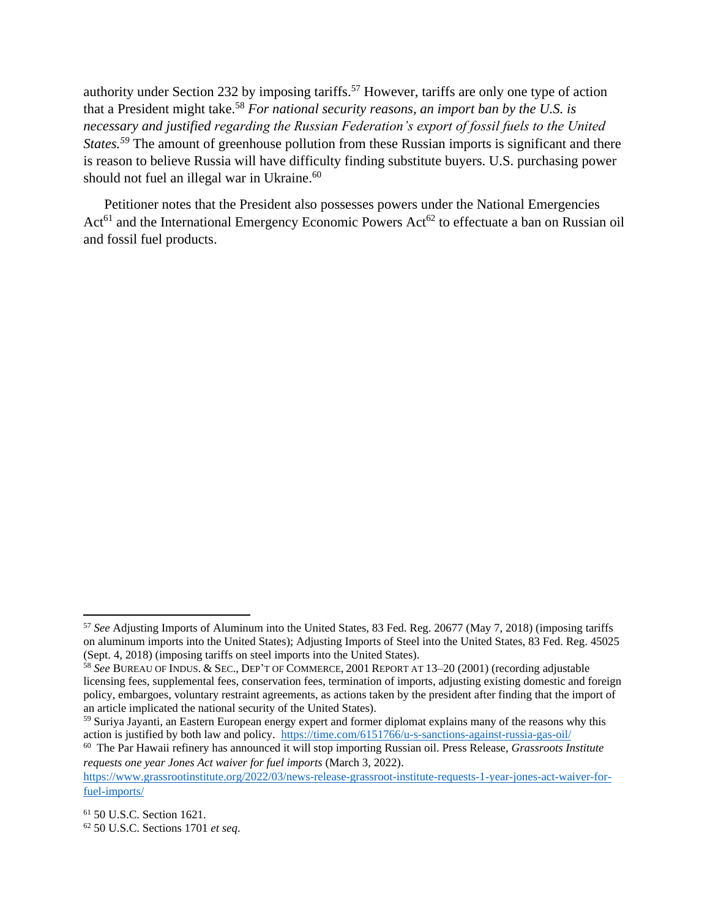authority under Section 232 by imposing tariffs.<sup>57</sup> However, tariffs are only one type of action that a President might take.<sup>58</sup> *For national security reasons, an import ban by the U.S. is necessary and justified regarding the Russian Federation's export of fossil fuels to the United States.*<sup>59</sup> The amount of greenhouse pollution from these Russian imports is significant and there is reason to believe Russia will have difficulty finding substitute buyers. U.S. purchasing power should not fuel an illegal war in Ukraine.<sup>60</sup>

Petitioner notes that the President also possesses powers under the National Emergencies  $Act<sup>61</sup>$  and the International Emergency Economic Powers  $Act<sup>62</sup>$  to effectuate a ban on Russian oil and fossil fuel products.

<sup>57</sup> *See* Adjusting Imports of Aluminum into the United States, 83 Fed. Reg. 20677 (May 7, 2018) (imposing tariffs on aluminum imports into the United States); Adjusting Imports of Steel into the United States, 83 Fed. Reg. 45025 (Sept. 4, 2018) (imposing tariffs on steel imports into the United States).

<sup>58</sup> *See* BUREAU OF INDUS. & SEC., DEP'T OF COMMERCE, 2001 REPORT AT 13–20 (2001) (recording adjustable licensing fees, supplemental fees, conservation fees, termination of imports, adjusting existing domestic and foreign policy, embargoes, voluntary restraint agreements, as actions taken by the president after finding that the import of an article implicated the national security of the United States).

<sup>&</sup>lt;sup>59</sup> Suriya Jayanti, an Eastern European energy expert and former diplomat explains many of the reasons why this action is justified by both law and policy.<https://time.com/6151766/u-s-sanctions-against-russia-gas-oil/>

<sup>60</sup> The Par Hawaii refinery has announced it will stop importing Russian oil. Press Release, *Grassroots Institute requests one year Jones Act waiver for fuel imports* (March 3, 2022).

[https://www.grassrootinstitute.org/2022/03/news-release-grassroot-institute-requests-1-year-jones-act-waiver-for](https://www.grassrootinstitute.org/2022/03/news-release-grassroot-institute-requests-1-year-jones-act-waiver-for-fuel-imports/)[fuel-imports/](https://www.grassrootinstitute.org/2022/03/news-release-grassroot-institute-requests-1-year-jones-act-waiver-for-fuel-imports/)

<sup>61</sup> 50 U.S.C. Section 1621.

<sup>62</sup> 50 U.S.C. Sections 1701 *et seq*.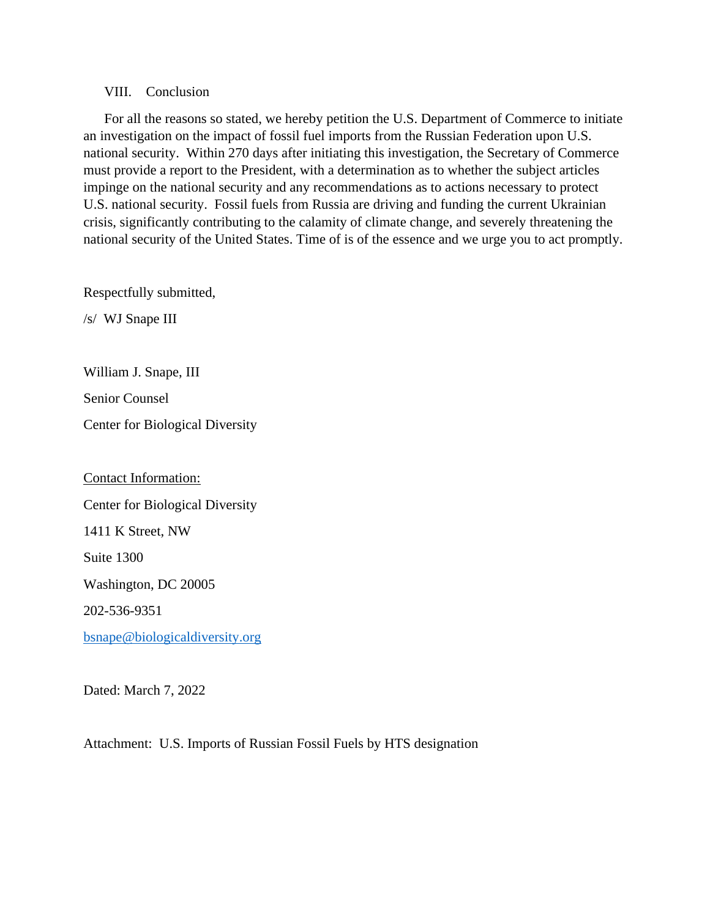#### VIII. Conclusion

For all the reasons so stated, we hereby petition the U.S. Department of Commerce to initiate an investigation on the impact of fossil fuel imports from the Russian Federation upon U.S. national security. Within 270 days after initiating this investigation, the Secretary of Commerce must provide a report to the President, with a determination as to whether the subject articles impinge on the national security and any recommendations as to actions necessary to protect U.S. national security. Fossil fuels from Russia are driving and funding the current Ukrainian crisis, significantly contributing to the calamity of climate change, and severely threatening the national security of the United States. Time of is of the essence and we urge you to act promptly.

Respectfully submitted,

/s/ WJ Snape III

William J. Snape, III

Senior Counsel

Center for Biological Diversity

Contact Information: Center for Biological Diversity 1411 K Street, NW Suite 1300 Washington, DC 20005 202-536-9351 [bsnape@biologicaldiversity.org](mailto:bsnape@biologicaldiversity.org)

Dated: March 7, 2022

Attachment: U.S. Imports of Russian Fossil Fuels by HTS designation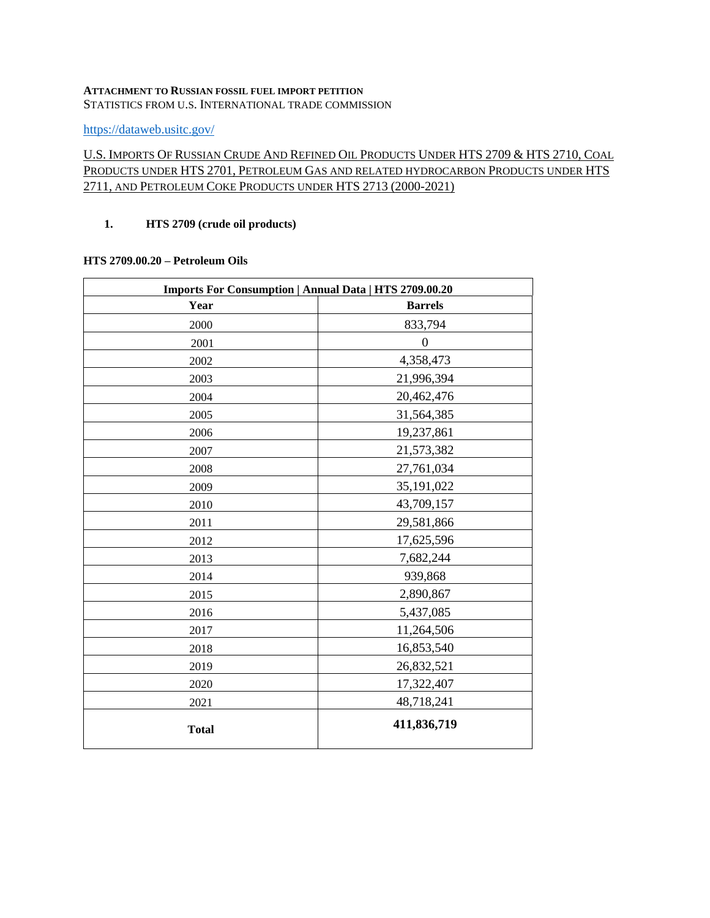#### **ATTACHMENT TO RUSSIAN FOSSIL FUEL IMPORT PETITION** STATISTICS FROM U.S. INTERNATIONAL TRADE COMMISSION

<https://dataweb.usitc.gov/>

## U.S. IMPORTS OF RUSSIAN CRUDE AND REFINED OIL PRODUCTS UNDER HTS 2709 & HTS 2710, COAL PRODUCTS UNDER HTS 2701, PETROLEUM GAS AND RELATED HYDROCARBON PRODUCTS UNDER HTS 2711, AND PETROLEUM COKE PRODUCTS UNDER HTS 2713 (2000-2021)

#### **1. HTS 2709 (crude oil products)**

#### **HTS 2709.00.20 – Petroleum Oils**

| Imports For Consumption   Annual Data   HTS 2709.00.20 |                |  |
|--------------------------------------------------------|----------------|--|
| Year                                                   | <b>Barrels</b> |  |
| 2000                                                   | 833,794        |  |
| 2001                                                   | $\overline{0}$ |  |
| 2002                                                   | 4,358,473      |  |
| 2003                                                   | 21,996,394     |  |
| 2004                                                   | 20,462,476     |  |
| 2005                                                   | 31,564,385     |  |
| 2006                                                   | 19,237,861     |  |
| 2007                                                   | 21,573,382     |  |
| 2008                                                   | 27,761,034     |  |
| 2009                                                   | 35,191,022     |  |
| 2010                                                   | 43,709,157     |  |
| 2011                                                   | 29,581,866     |  |
| 2012                                                   | 17,625,596     |  |
| 2013                                                   | 7,682,244      |  |
| 2014                                                   | 939,868        |  |
| 2015                                                   | 2,890,867      |  |
| 2016                                                   | 5,437,085      |  |
| 2017                                                   | 11,264,506     |  |
| 2018                                                   | 16,853,540     |  |
| 2019                                                   | 26,832,521     |  |
| 2020                                                   | 17,322,407     |  |
| 2021                                                   | 48,718,241     |  |
| <b>Total</b>                                           | 411,836,719    |  |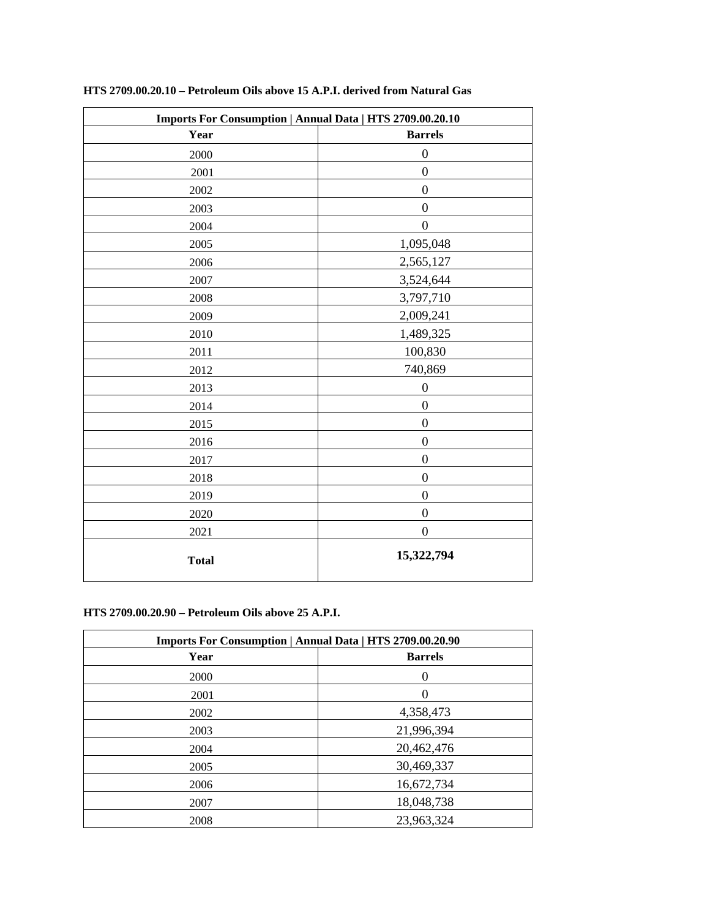| Imports For Consumption   Annual Data   HTS 2709.00.20.10 |                  |  |
|-----------------------------------------------------------|------------------|--|
| Year                                                      | <b>Barrels</b>   |  |
| 2000                                                      | $\boldsymbol{0}$ |  |
| 2001                                                      | $\boldsymbol{0}$ |  |
| 2002                                                      | $\boldsymbol{0}$ |  |
| 2003                                                      | $\mathbf{0}$     |  |
| 2004                                                      | $\mathbf{0}$     |  |
| 2005                                                      | 1,095,048        |  |
| 2006                                                      | 2,565,127        |  |
| 2007                                                      | 3,524,644        |  |
| 2008                                                      | 3,797,710        |  |
| 2009                                                      | 2,009,241        |  |
| 2010                                                      | 1,489,325        |  |
| 2011                                                      | 100,830          |  |
| 2012                                                      | 740,869          |  |
| 2013                                                      | $\boldsymbol{0}$ |  |
| 2014                                                      | $\mathbf{0}$     |  |
| 2015                                                      | $\boldsymbol{0}$ |  |
| 2016                                                      | $\boldsymbol{0}$ |  |
| 2017                                                      | $\boldsymbol{0}$ |  |
| 2018                                                      | $\boldsymbol{0}$ |  |
| 2019                                                      | $\boldsymbol{0}$ |  |
| 2020                                                      | $\boldsymbol{0}$ |  |
| 2021                                                      | $\mathbf{0}$     |  |
| <b>Total</b>                                              | 15,322,794       |  |

#### **HTS 2709.00.20.10 – Petroleum Oils above 15 A.P.I. derived from Natural Gas**

#### **HTS 2709.00.20.90 – Petroleum Oils above 25 A.P.I.**

| Imports For Consumption   Annual Data   HTS 2709.00.20.90 |                |  |
|-----------------------------------------------------------|----------------|--|
| Year                                                      | <b>Barrels</b> |  |
| 2000                                                      | $\theta$       |  |
| 2001                                                      | $\left($       |  |
| 2002                                                      | 4,358,473      |  |
| 2003                                                      | 21,996,394     |  |
| 2004                                                      | 20,462,476     |  |
| 2005                                                      | 30,469,337     |  |
| 2006                                                      | 16,672,734     |  |
| 2007                                                      | 18,048,738     |  |
| 2008                                                      | 23,963,324     |  |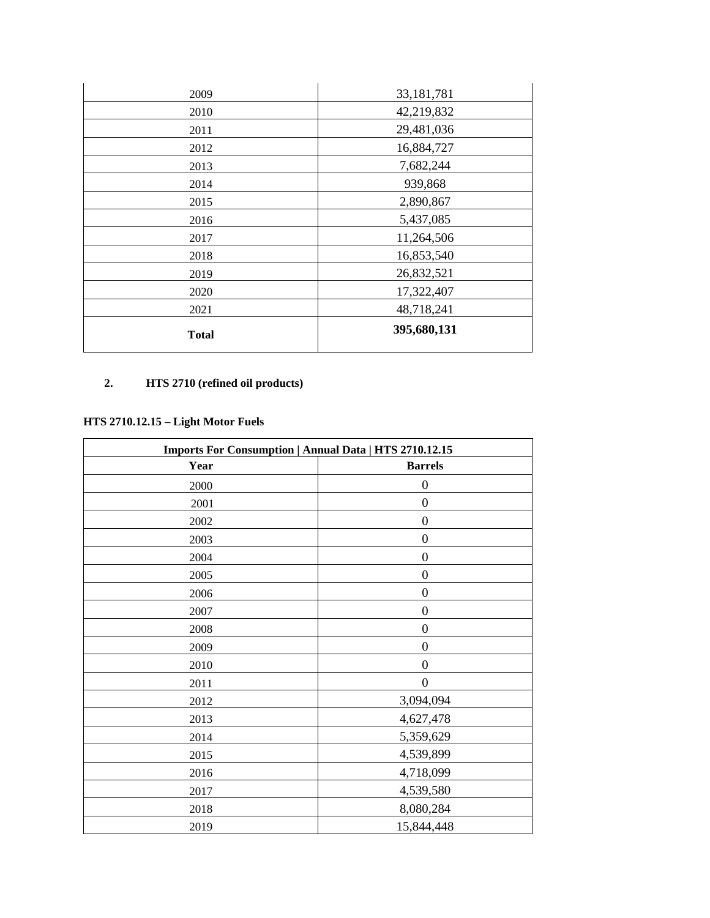| 2009         | 33, 181, 781 |
|--------------|--------------|
| 2010         | 42,219,832   |
| 2011         | 29,481,036   |
| 2012         | 16,884,727   |
| 2013         | 7,682,244    |
| 2014         | 939,868      |
| 2015         | 2,890,867    |
| 2016         | 5,437,085    |
| 2017         | 11,264,506   |
| 2018         | 16,853,540   |
| 2019         | 26,832,521   |
| 2020         | 17,322,407   |
| 2021         | 48,718,241   |
| <b>Total</b> | 395,680,131  |

# **2. HTS 2710 (refined oil products)**

## **HTS 2710.12.15 – Light Motor Fuels**

| Imports For Consumption   Annual Data   HTS 2710.12.15 |                  |  |
|--------------------------------------------------------|------------------|--|
| Year                                                   | <b>Barrels</b>   |  |
| 2000                                                   | $\boldsymbol{0}$ |  |
| $2001\,$                                               | $\boldsymbol{0}$ |  |
| 2002                                                   | $\boldsymbol{0}$ |  |
| 2003                                                   | $\boldsymbol{0}$ |  |
| 2004                                                   | $\boldsymbol{0}$ |  |
| 2005                                                   | $\boldsymbol{0}$ |  |
| 2006                                                   | $\overline{0}$   |  |
| 2007                                                   | $\overline{0}$   |  |
| 2008                                                   | $\boldsymbol{0}$ |  |
| 2009                                                   | $\boldsymbol{0}$ |  |
| 2010                                                   | $\boldsymbol{0}$ |  |
| 2011                                                   | $\boldsymbol{0}$ |  |
| 2012                                                   | 3,094,094        |  |
| 2013                                                   | 4,627,478        |  |
| 2014                                                   | 5,359,629        |  |
| 2015                                                   | 4,539,899        |  |
| 2016                                                   | 4,718,099        |  |
| 2017                                                   | 4,539,580        |  |
| 2018                                                   | 8,080,284        |  |
| 2019                                                   | 15,844,448       |  |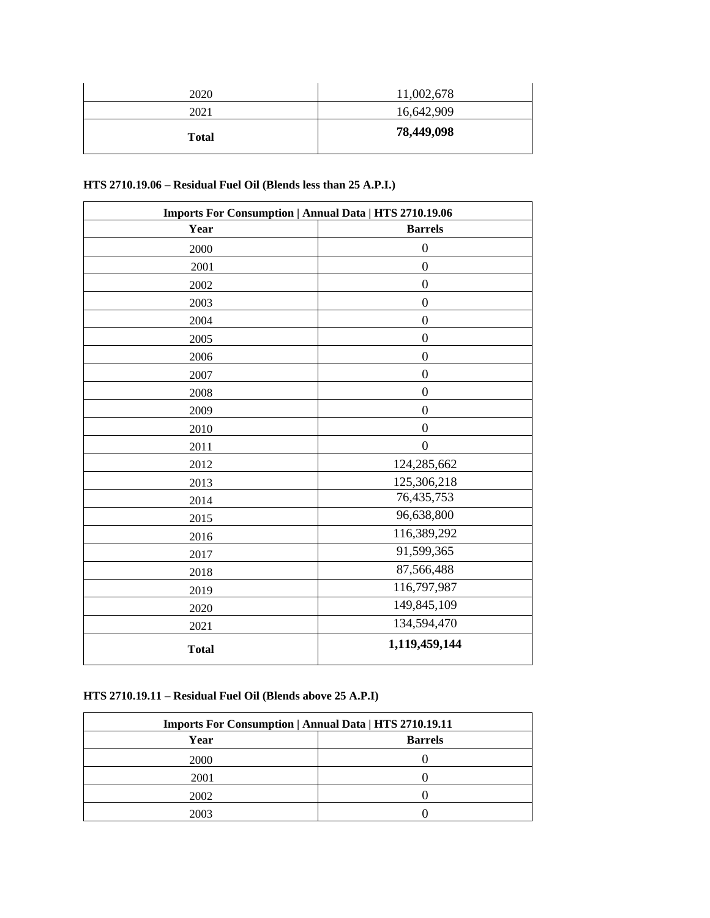| 2020         | 11,002,678 |
|--------------|------------|
| 2021         | 16,642,909 |
| <b>Total</b> | 78,449,098 |

## **HTS 2710.19.06 – Residual Fuel Oil (Blends less than 25 A.P.I.)**

| Imports For Consumption   Annual Data   HTS 2710.19.06 |                  |  |
|--------------------------------------------------------|------------------|--|
| Year                                                   | <b>Barrels</b>   |  |
| 2000                                                   | $\boldsymbol{0}$ |  |
| 2001                                                   | $\boldsymbol{0}$ |  |
| 2002                                                   | $\boldsymbol{0}$ |  |
| 2003                                                   | $\boldsymbol{0}$ |  |
| 2004                                                   | $\boldsymbol{0}$ |  |
| 2005                                                   | $\boldsymbol{0}$ |  |
| 2006                                                   | $\boldsymbol{0}$ |  |
| 2007                                                   | $\boldsymbol{0}$ |  |
| 2008                                                   | $\overline{0}$   |  |
| 2009                                                   | $\boldsymbol{0}$ |  |
| 2010                                                   | $\boldsymbol{0}$ |  |
| 2011                                                   | $\overline{0}$   |  |
| 2012                                                   | 124,285,662      |  |
| 2013                                                   | 125,306,218      |  |
| 2014                                                   | 76,435,753       |  |
| 2015                                                   | 96,638,800       |  |
| 2016                                                   | 116,389,292      |  |
| 2017                                                   | 91,599,365       |  |
| 2018                                                   | 87,566,488       |  |
| 2019                                                   | 116,797,987      |  |
| 2020                                                   | 149,845,109      |  |
| 2021                                                   | 134,594,470      |  |
| <b>Total</b>                                           | 1,119,459,144    |  |

### **HTS 2710.19.11 – Residual Fuel Oil (Blends above 25 A.P.I)**

| <b>Imports For Consumption   Annual Data   HTS 2710.19.11</b> |                |  |
|---------------------------------------------------------------|----------------|--|
| Year                                                          | <b>Barrels</b> |  |
| 2000                                                          |                |  |
| 2001                                                          |                |  |
| 2002                                                          |                |  |
| 2003                                                          |                |  |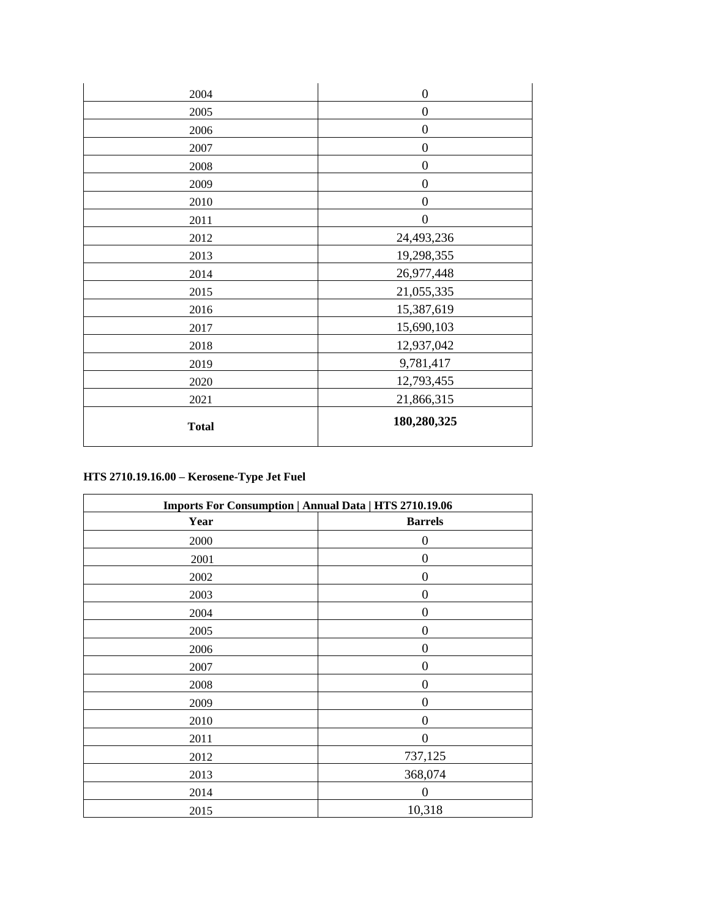| 2004         | $\overline{0}$   |
|--------------|------------------|
| 2005         | $\boldsymbol{0}$ |
| 2006         | $\boldsymbol{0}$ |
| 2007         | $\boldsymbol{0}$ |
| 2008         | $\boldsymbol{0}$ |
| 2009         | $\overline{0}$   |
| 2010         | $\boldsymbol{0}$ |
| 2011         | $\boldsymbol{0}$ |
| 2012         | 24,493,236       |
| 2013         | 19,298,355       |
| 2014         | 26,977,448       |
| 2015         | 21,055,335       |
| 2016         | 15,387,619       |
| 2017         | 15,690,103       |
| 2018         | 12,937,042       |
| 2019         | 9,781,417        |
| 2020         | 12,793,455       |
| 2021         | 21,866,315       |
| <b>Total</b> | 180,280,325      |

# **HTS 2710.19.16.00 – Kerosene-Type Jet Fuel**

| <b>Imports For Consumption   Annual Data   HTS 2710.19.06</b> |                  |  |
|---------------------------------------------------------------|------------------|--|
| Year                                                          | <b>Barrels</b>   |  |
| 2000                                                          | $\boldsymbol{0}$ |  |
| 2001                                                          | $\overline{0}$   |  |
| 2002                                                          | $\overline{0}$   |  |
| 2003                                                          | $\boldsymbol{0}$ |  |
| 2004                                                          | $\boldsymbol{0}$ |  |
| 2005                                                          | $\boldsymbol{0}$ |  |
| 2006                                                          | $\overline{0}$   |  |
| 2007                                                          | $\overline{0}$   |  |
| 2008                                                          | $\overline{0}$   |  |
| 2009                                                          | $\overline{0}$   |  |
| 2010                                                          | $\boldsymbol{0}$ |  |
| 2011                                                          | $\overline{0}$   |  |
| 2012                                                          | 737,125          |  |
| 2013                                                          | 368,074          |  |
| 2014                                                          | $\overline{0}$   |  |
| 2015                                                          | 10,318           |  |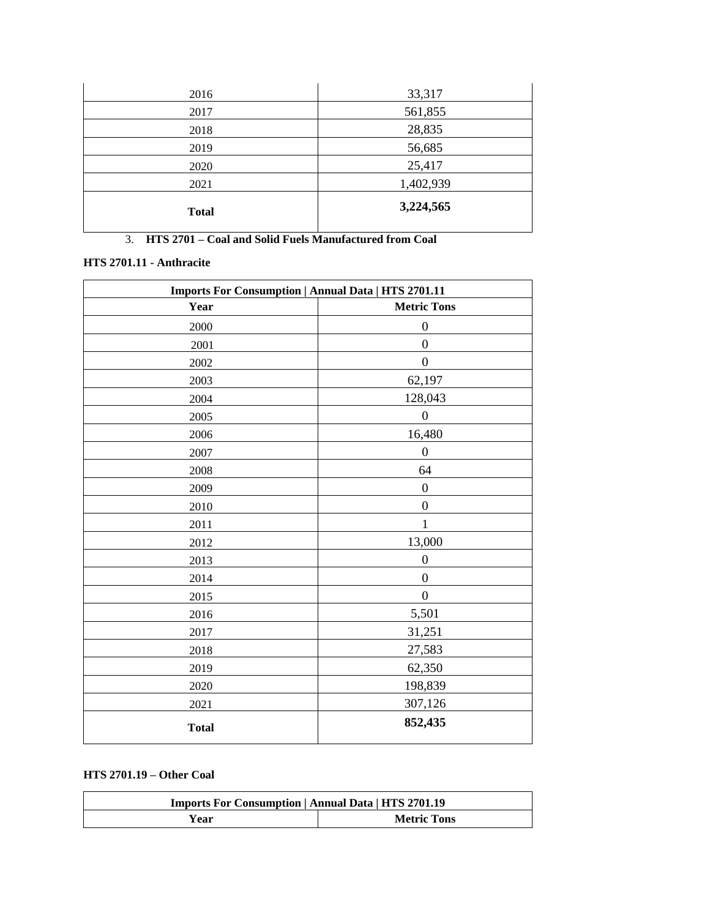| 2016         | 33,317    |
|--------------|-----------|
| 2017         | 561,855   |
| 2018         | 28,835    |
| 2019         | 56,685    |
| 2020         | 25,417    |
| 2021         | 1,402,939 |
| <b>Total</b> | 3,224,565 |

3. **HTS 2701 – Coal and Solid Fuels Manufactured from Coal**

### **HTS 2701.11 - Anthracite**

| <b>Imports For Consumption   Annual Data   HTS 2701.11</b> |                    |
|------------------------------------------------------------|--------------------|
| Year                                                       | <b>Metric Tons</b> |
| 2000                                                       | $\boldsymbol{0}$   |
| 2001                                                       | $\boldsymbol{0}$   |
| 2002                                                       | $\boldsymbol{0}$   |
| 2003                                                       | 62,197             |
| 2004                                                       | 128,043            |
| 2005                                                       | $\boldsymbol{0}$   |
| 2006                                                       | 16,480             |
| 2007                                                       | $\boldsymbol{0}$   |
| 2008                                                       | 64                 |
| 2009                                                       | $\boldsymbol{0}$   |
| 2010                                                       | $\boldsymbol{0}$   |
| 2011                                                       | 1                  |
| 2012                                                       | 13,000             |
| 2013                                                       | $\boldsymbol{0}$   |
| 2014                                                       | $\boldsymbol{0}$   |
| 2015                                                       | $\boldsymbol{0}$   |
| 2016                                                       | 5,501              |
| 2017                                                       | 31,251             |
| 2018                                                       | 27,583             |
| 2019                                                       | 62,350             |
| 2020                                                       | 198,839            |
| 2021                                                       | 307,126            |
| <b>Total</b>                                               | 852,435            |

#### **HTS 2701.19 – Other Coal**

| <b>Imports For Consumption   Annual Data   HTS 2701.19</b> |                    |
|------------------------------------------------------------|--------------------|
| Year                                                       | <b>Metric Tons</b> |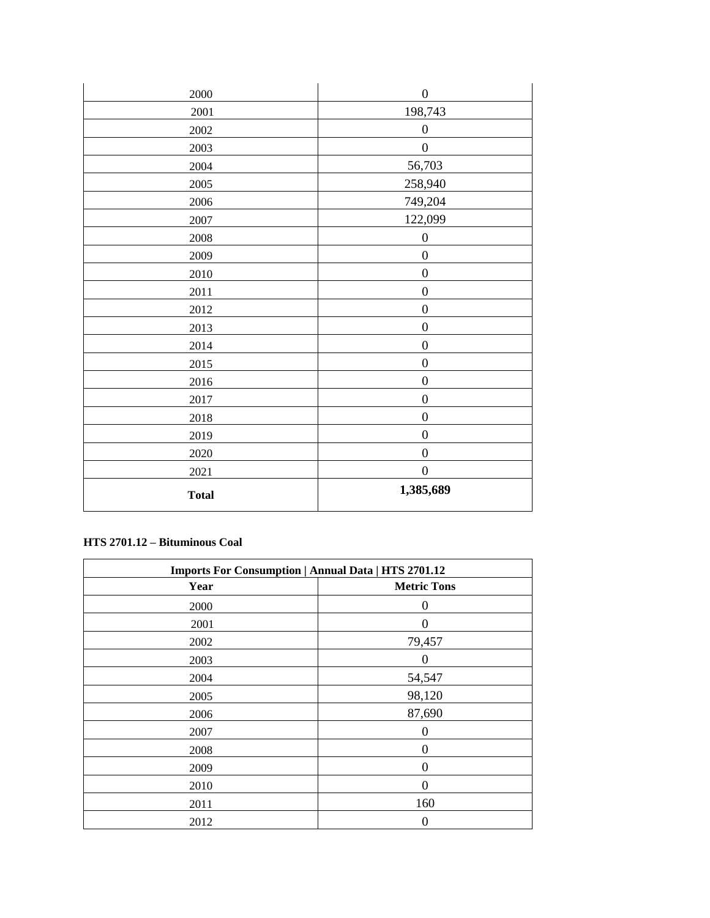| 2000         | $\boldsymbol{0}$ |
|--------------|------------------|
| $2001\,$     | 198,743          |
| $2002\,$     | $\boldsymbol{0}$ |
| 2003         | $\boldsymbol{0}$ |
| 2004         | 56,703           |
| $2005\,$     | 258,940          |
| 2006         | 749,204          |
| 2007         | 122,099          |
| 2008         | $\boldsymbol{0}$ |
| 2009         | $\boldsymbol{0}$ |
| 2010         | $\boldsymbol{0}$ |
| 2011         | $\boldsymbol{0}$ |
| 2012         | $\boldsymbol{0}$ |
| 2013         | $\boldsymbol{0}$ |
| 2014         | $\boldsymbol{0}$ |
| 2015         | $\boldsymbol{0}$ |
| 2016         | $\boldsymbol{0}$ |
| 2017         | $\overline{0}$   |
| 2018         | $\boldsymbol{0}$ |
| 2019         | $\boldsymbol{0}$ |
| 2020         | $\boldsymbol{0}$ |
| 2021         | $\boldsymbol{0}$ |
| <b>Total</b> | 1,385,689        |

### **HTS 2701.12 – Bituminous Coal**

| <b>Imports For Consumption   Annual Data   HTS 2701.12</b> |                    |
|------------------------------------------------------------|--------------------|
| Year                                                       | <b>Metric Tons</b> |
| 2000                                                       | $\boldsymbol{0}$   |
| 2001                                                       | 0                  |
| 2002                                                       | 79,457             |
| 2003                                                       | 0                  |
| 2004                                                       | 54,547             |
| 2005                                                       | 98,120             |
| 2006                                                       | 87,690             |
| 2007                                                       | 0                  |
| 2008                                                       | 0                  |
| 2009                                                       | 0                  |
| 2010                                                       | 0                  |
| 2011                                                       | 160                |
| 2012                                                       | $\boldsymbol{0}$   |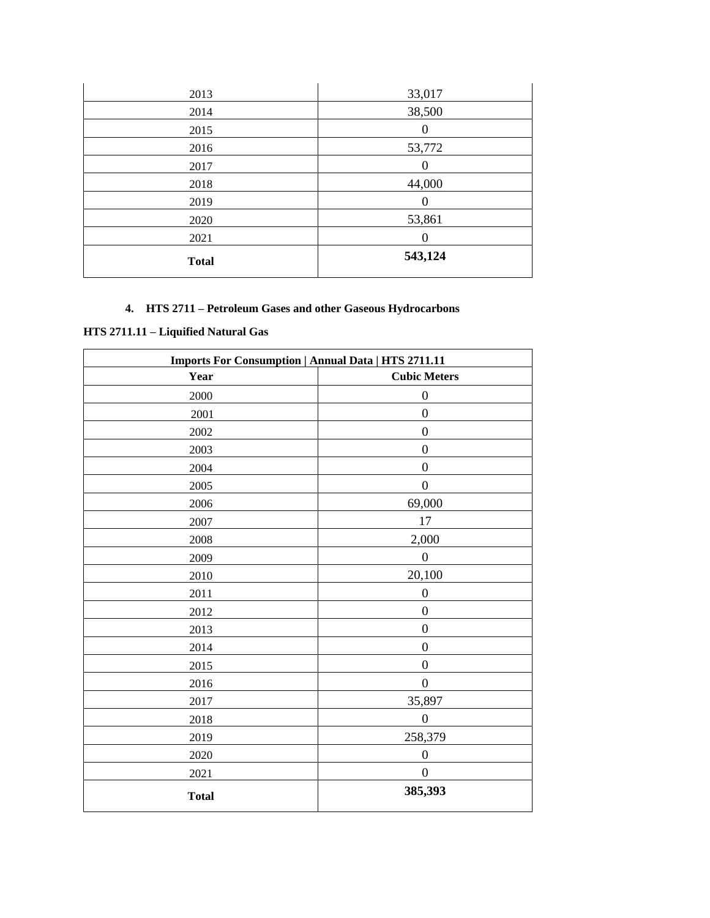| 2013         | 33,017  |
|--------------|---------|
| 2014         | 38,500  |
| 2015         | 0       |
| 2016         | 53,772  |
| 2017         | O       |
| 2018         | 44,000  |
| 2019         | U       |
| 2020         | 53,861  |
| 2021         | 0       |
| <b>Total</b> | 543,124 |

# **4. HTS 2711 – Petroleum Gases and other Gaseous Hydrocarbons**

# **HTS 2711.11 – Liquified Natural Gas**

| <b>Imports For Consumption   Annual Data   HTS 2711.11</b> |                     |
|------------------------------------------------------------|---------------------|
| Year                                                       | <b>Cubic Meters</b> |
| 2000                                                       | $\boldsymbol{0}$    |
| 2001                                                       | $\overline{0}$      |
| 2002                                                       | $\boldsymbol{0}$    |
| 2003                                                       | $\boldsymbol{0}$    |
| 2004                                                       | $\boldsymbol{0}$    |
| 2005                                                       | $\boldsymbol{0}$    |
| 2006                                                       | 69,000              |
| 2007                                                       | 17                  |
| 2008                                                       | 2,000               |
| 2009                                                       | $\boldsymbol{0}$    |
| 2010                                                       | 20,100              |
| 2011                                                       | $\boldsymbol{0}$    |
| 2012                                                       | $\boldsymbol{0}$    |
| 2013                                                       | $\boldsymbol{0}$    |
| 2014                                                       | $\boldsymbol{0}$    |
| 2015                                                       | $\boldsymbol{0}$    |
| 2016                                                       | $\boldsymbol{0}$    |
| 2017                                                       | 35,897              |
| 2018                                                       | $\boldsymbol{0}$    |
| 2019                                                       | 258,379             |
| 2020                                                       | $\boldsymbol{0}$    |
| 2021                                                       | $\boldsymbol{0}$    |
| <b>Total</b>                                               | 385,393             |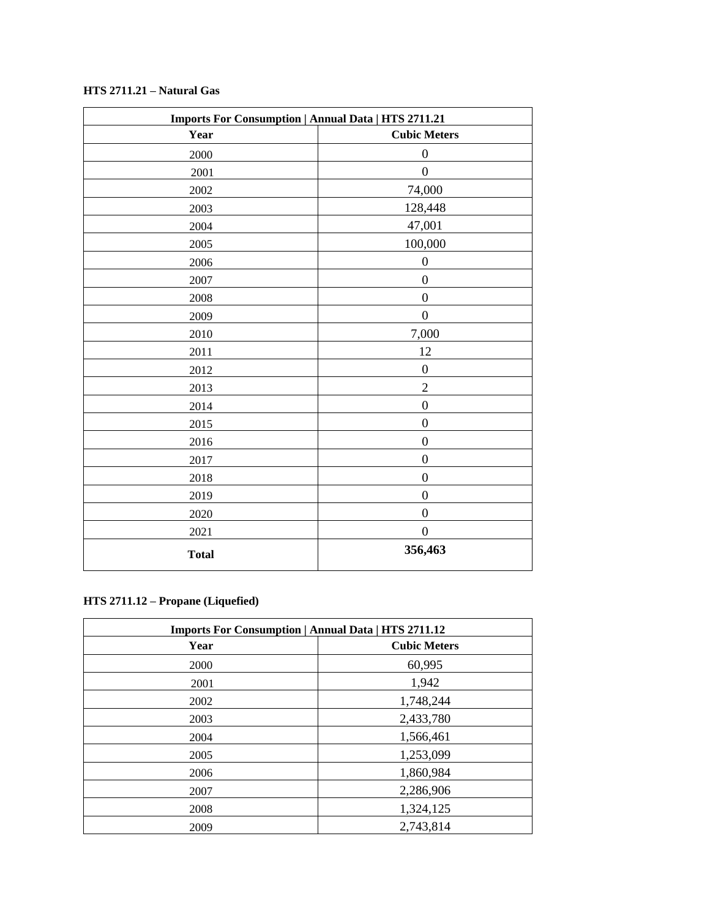| $HTS 2711.21 - Natural Gas$ |  |  |
|-----------------------------|--|--|
|-----------------------------|--|--|

| <b>Imports For Consumption   Annual Data   HTS 2711.21</b> |                     |
|------------------------------------------------------------|---------------------|
| Year                                                       | <b>Cubic Meters</b> |
| 2000                                                       | $\boldsymbol{0}$    |
| 2001                                                       | $\boldsymbol{0}$    |
| 2002                                                       | 74,000              |
| 2003                                                       | 128,448             |
| 2004                                                       | 47,001              |
| 2005                                                       | 100,000             |
| 2006                                                       | $\boldsymbol{0}$    |
| 2007                                                       | $\boldsymbol{0}$    |
| 2008                                                       | $\boldsymbol{0}$    |
| 2009                                                       | $\boldsymbol{0}$    |
| 2010                                                       | 7,000               |
| 2011                                                       | 12                  |
| 2012                                                       | $\boldsymbol{0}$    |
| 2013                                                       | $\overline{c}$      |
| 2014                                                       | $\boldsymbol{0}$    |
| 2015                                                       | $\boldsymbol{0}$    |
| 2016                                                       | $\boldsymbol{0}$    |
| 2017                                                       | $\boldsymbol{0}$    |
| 2018                                                       | $\boldsymbol{0}$    |
| 2019                                                       | $\boldsymbol{0}$    |
| 2020                                                       | $\boldsymbol{0}$    |
| 2021                                                       | $\boldsymbol{0}$    |
| <b>Total</b>                                               | 356,463             |

# **HTS 2711.12 – Propane (Liquefied)**

| <b>Imports For Consumption   Annual Data   HTS 2711.12</b> |                     |
|------------------------------------------------------------|---------------------|
| Year                                                       | <b>Cubic Meters</b> |
| 2000                                                       | 60,995              |
| 2001                                                       | 1,942               |
| 2002                                                       | 1,748,244           |
| 2003                                                       | 2,433,780           |
| 2004                                                       | 1,566,461           |
| 2005                                                       | 1,253,099           |
| 2006                                                       | 1,860,984           |
| 2007                                                       | 2,286,906           |
| 2008                                                       | 1,324,125           |
| 2009                                                       | 2,743,814           |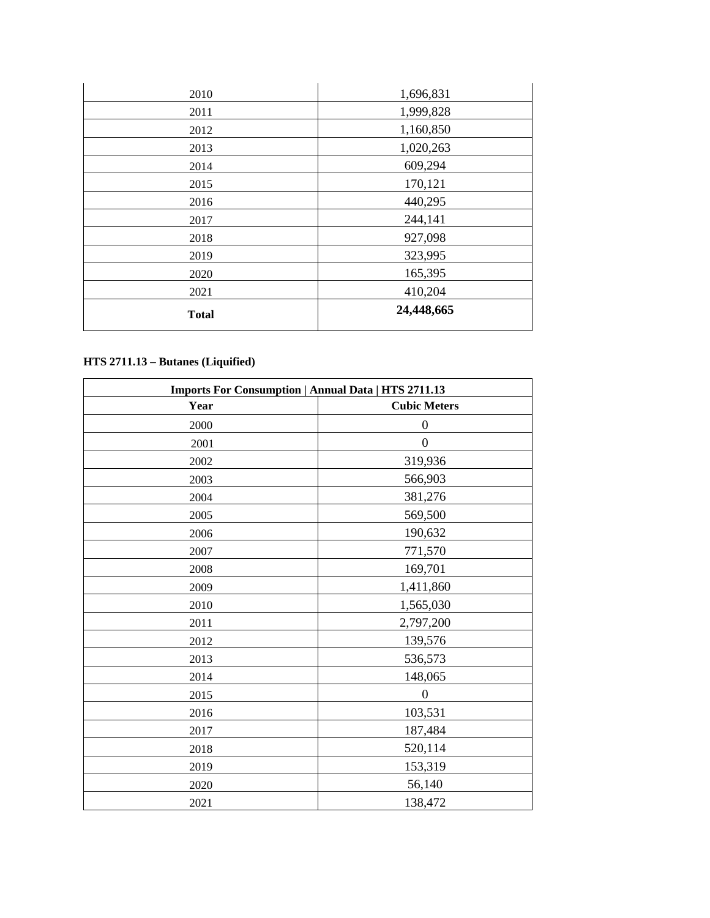| 2010         | 1,696,831  |
|--------------|------------|
| 2011         | 1,999,828  |
| 2012         | 1,160,850  |
| 2013         | 1,020,263  |
| 2014         | 609,294    |
| 2015         | 170,121    |
| 2016         | 440,295    |
| 2017         | 244,141    |
| 2018         | 927,098    |
| 2019         | 323,995    |
| 2020         | 165,395    |
| 2021         | 410,204    |
| <b>Total</b> | 24,448,665 |

# **HTS 2711.13 – Butanes (Liquified)**

| <b>Imports For Consumption   Annual Data   HTS 2711.13</b> |                     |
|------------------------------------------------------------|---------------------|
| Year                                                       | <b>Cubic Meters</b> |
| 2000                                                       | 0                   |
| 2001                                                       | $\boldsymbol{0}$    |
| 2002                                                       | 319,936             |
| 2003                                                       | 566,903             |
| 2004                                                       | 381,276             |
| 2005                                                       | 569,500             |
| 2006                                                       | 190,632             |
| 2007                                                       | 771,570             |
| 2008                                                       | 169,701             |
| 2009                                                       | 1,411,860           |
| 2010                                                       | 1,565,030           |
| 2011                                                       | 2,797,200           |
| 2012                                                       | 139,576             |
| 2013                                                       | 536,573             |
| 2014                                                       | 148,065             |
| 2015                                                       | $\overline{0}$      |
| 2016                                                       | 103,531             |
| 2017                                                       | 187,484             |
| 2018                                                       | 520,114             |
| 2019                                                       | 153,319             |
| 2020                                                       | 56,140              |
| 2021                                                       | 138,472             |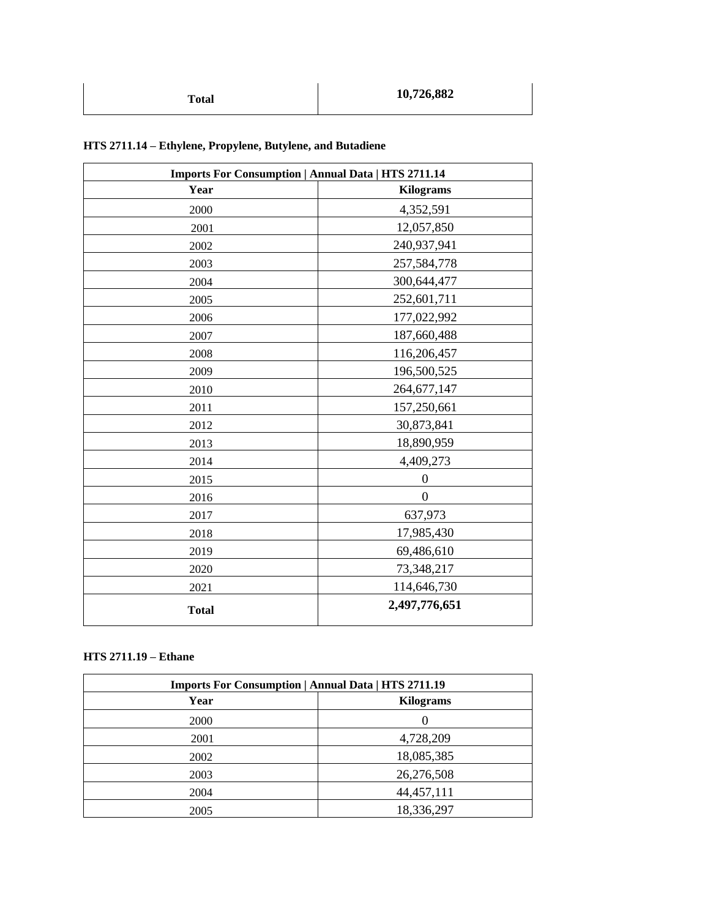| <b>Imports For Consumption   Annual Data   HTS 2711.14</b> |                  |
|------------------------------------------------------------|------------------|
| Year                                                       | <b>Kilograms</b> |
| 2000                                                       | 4,352,591        |
| 2001                                                       | 12,057,850       |
| 2002                                                       | 240,937,941      |
| 2003                                                       | 257,584,778      |
| 2004                                                       | 300,644,477      |
| 2005                                                       | 252,601,711      |
| 2006                                                       | 177,022,992      |
| 2007                                                       | 187,660,488      |
| 2008                                                       | 116,206,457      |
| 2009                                                       | 196,500,525      |
| 2010                                                       | 264,677,147      |
| 2011                                                       | 157,250,661      |
| 2012                                                       | 30,873,841       |
| 2013                                                       | 18,890,959       |
| 2014                                                       | 4,409,273        |
| 2015                                                       | $\overline{0}$   |
| 2016                                                       | $\overline{0}$   |
| 2017                                                       | 637,973          |
| 2018                                                       | 17,985,430       |
| 2019                                                       | 69,486,610       |
| 2020                                                       | 73,348,217       |
| 2021                                                       | 114,646,730      |
| <b>Total</b>                                               | 2,497,776,651    |

# **HTS 2711.14 – Ethylene, Propylene, Butylene, and Butadiene**

#### **HTS 2711.19 – Ethane**

| <b>Imports For Consumption   Annual Data   HTS 2711.19</b> |                  |
|------------------------------------------------------------|------------------|
| Year                                                       | <b>Kilograms</b> |
| <b>2000</b>                                                |                  |
| 2001                                                       | 4,728,209        |
| 2002                                                       | 18,085,385       |
| 2003                                                       | 26,276,508       |
| 2004                                                       | 44, 457, 111     |
| 2005                                                       | 18,336,297       |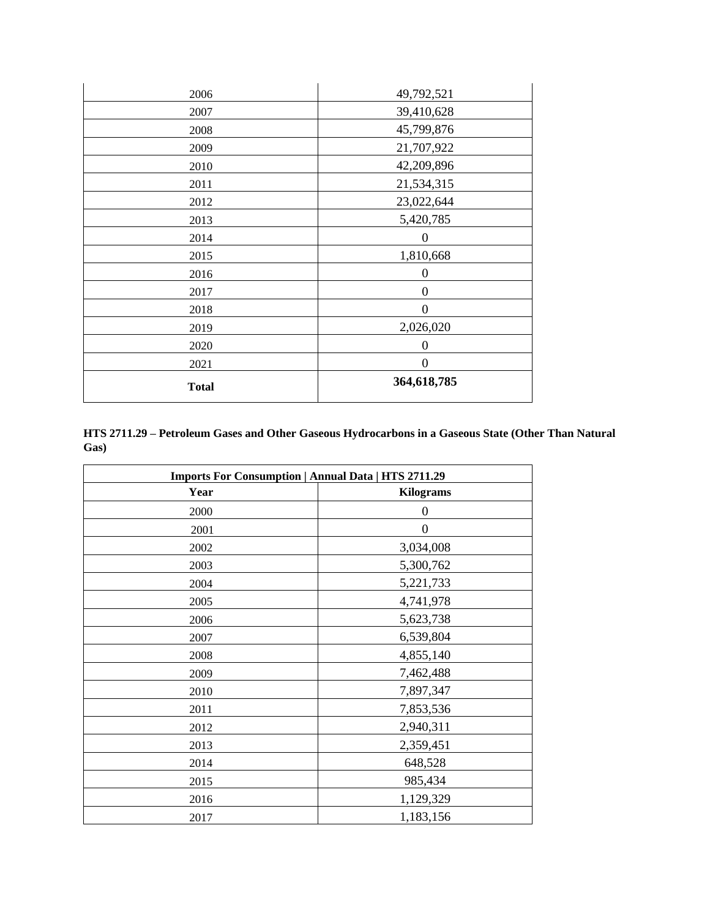| <b>Total</b> | 364,618,785      |
|--------------|------------------|
| 2021         | $\boldsymbol{0}$ |
| 2020         | $\boldsymbol{0}$ |
| 2019         | 2,026,020        |
| 2018         | $\Omega$         |
| 2017         | $\overline{0}$   |
| 2016         | $\boldsymbol{0}$ |
| 2015         | 1,810,668        |
| 2014         | $\boldsymbol{0}$ |
| 2013         | 5,420,785        |
| 2012         | 23,022,644       |
| 2011         | 21,534,315       |
| 2010         | 42,209,896       |
| 2009         | 21,707,922       |
| 2008         | 45,799,876       |
| 2007         | 39,410,628       |
| 2006         | 49,792,521       |

**HTS 2711.29 – Petroleum Gases and Other Gaseous Hydrocarbons in a Gaseous State (Other Than Natural Gas)**

| <b>Imports For Consumption   Annual Data   HTS 2711.29</b> |                  |
|------------------------------------------------------------|------------------|
| Year                                                       | <b>Kilograms</b> |
| 2000                                                       | $\Omega$         |
| 2001                                                       | $\overline{0}$   |
| 2002                                                       | 3,034,008        |
| 2003                                                       | 5,300,762        |
| 2004                                                       | 5,221,733        |
| 2005                                                       | 4,741,978        |
| 2006                                                       | 5,623,738        |
| 2007                                                       | 6,539,804        |
| 2008                                                       | 4,855,140        |
| 2009                                                       | 7,462,488        |
| 2010                                                       | 7,897,347        |
| 2011                                                       | 7,853,536        |
| 2012                                                       | 2,940,311        |
| 2013                                                       | 2,359,451        |
| 2014                                                       | 648,528          |
| 2015                                                       | 985,434          |
| 2016                                                       | 1,129,329        |
| 2017                                                       | 1,183,156        |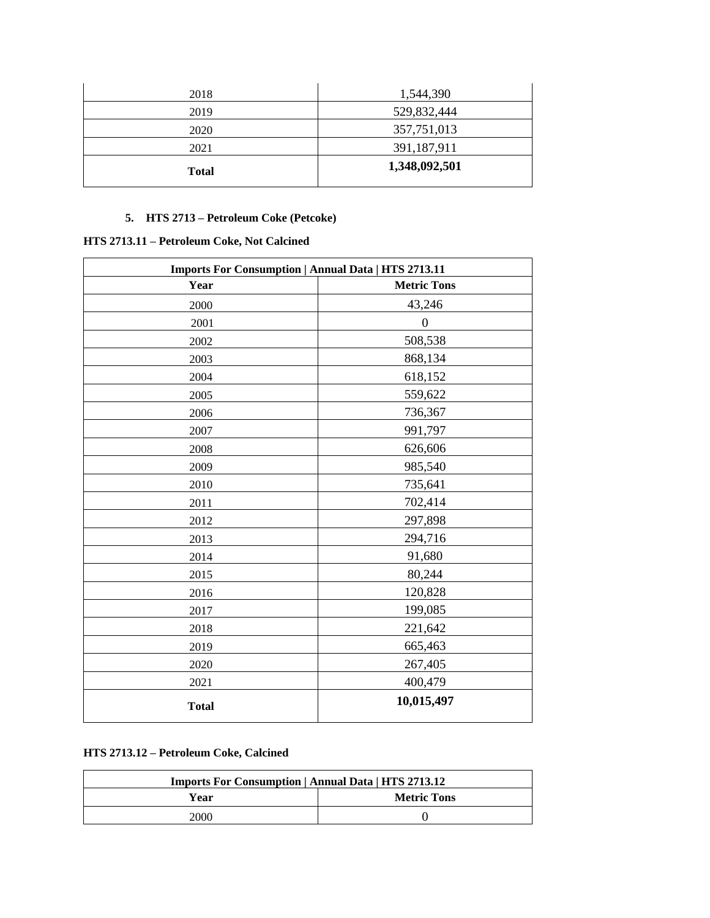| <b>Total</b> | 1,348,092,501 |
|--------------|---------------|
| 2021         | 391,187,911   |
| 2020         | 357,751,013   |
| 2019         | 529,832,444   |
| 2018         | 1,544,390     |

### **5. HTS 2713 – Petroleum Coke (Petcoke)**

## **HTS 2713.11 – Petroleum Coke, Not Calcined**

| <b>Imports For Consumption   Annual Data   HTS 2713.11</b> |                    |
|------------------------------------------------------------|--------------------|
| Year                                                       | <b>Metric Tons</b> |
| 2000                                                       | 43,246             |
| 2001                                                       | $\overline{0}$     |
| 2002                                                       | 508,538            |
| 2003                                                       | 868,134            |
| 2004                                                       | 618,152            |
| 2005                                                       | 559,622            |
| 2006                                                       | 736,367            |
| 2007                                                       | 991,797            |
| 2008                                                       | 626,606            |
| 2009                                                       | 985,540            |
| 2010                                                       | 735,641            |
| 2011                                                       | 702,414            |
| 2012                                                       | 297,898            |
| 2013                                                       | 294,716            |
| 2014                                                       | 91,680             |
| 2015                                                       | 80,244             |
| 2016                                                       | 120,828            |
| 2017                                                       | 199,085            |
| 2018                                                       | 221,642            |
| 2019                                                       | 665,463            |
| 2020                                                       | 267,405            |
| 2021                                                       | 400,479            |
| <b>Total</b>                                               | 10,015,497         |

## **HTS 2713.12 – Petroleum Coke, Calcined**

| <b>Imports For Consumption   Annual Data   HTS 2713.12</b> |                    |
|------------------------------------------------------------|--------------------|
| Year                                                       | <b>Metric Tons</b> |
| 2000                                                       |                    |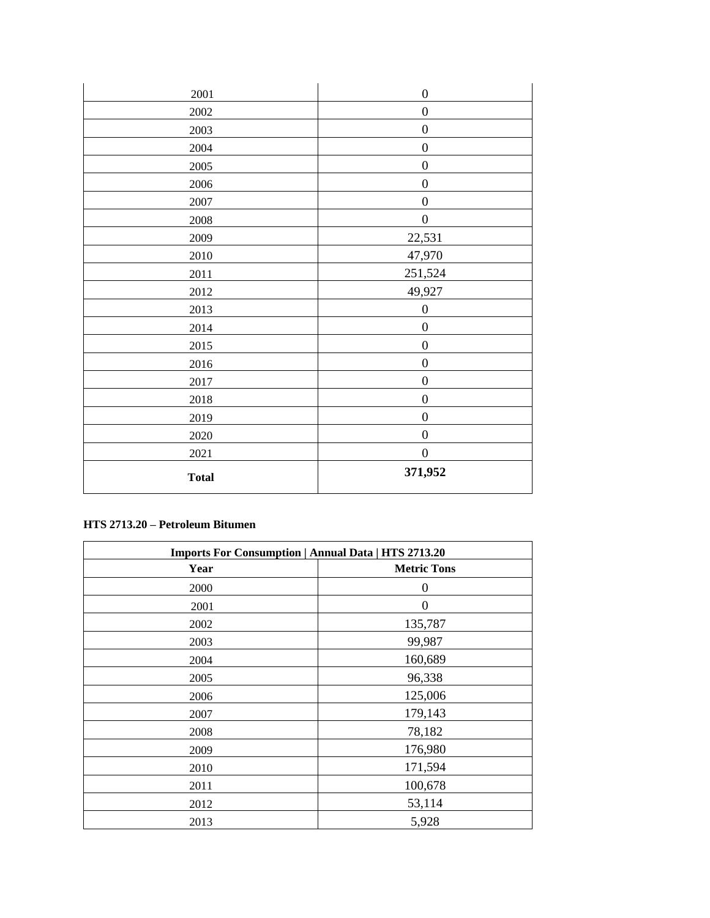| <b>Total</b> | 371,952          |
|--------------|------------------|
| 2021         | $\boldsymbol{0}$ |
| 2020         | $\boldsymbol{0}$ |
| 2019         | $\boldsymbol{0}$ |
| 2018         | $\boldsymbol{0}$ |
| 2017         | $\boldsymbol{0}$ |
| 2016         | $\boldsymbol{0}$ |
| 2015         | $\boldsymbol{0}$ |
| 2014         | $\boldsymbol{0}$ |
| 2013         | $\boldsymbol{0}$ |
| 2012         | 49,927           |
| 2011         | 251,524          |
| 2010         | 47,970           |
| 2009         | 22,531           |
| $2008\,$     | $\boldsymbol{0}$ |
| 2007         | $\boldsymbol{0}$ |
| 2006         | $\boldsymbol{0}$ |
| $2005\,$     | $\boldsymbol{0}$ |
| 2004         | $\boldsymbol{0}$ |
| 2003         | $\boldsymbol{0}$ |
| $2002\,$     | $\boldsymbol{0}$ |
| 2001         | $\boldsymbol{0}$ |

## **HTS 2713.20 – Petroleum Bitumen**

| <b>Imports For Consumption   Annual Data   HTS 2713.20</b> |                    |
|------------------------------------------------------------|--------------------|
| Year                                                       | <b>Metric Tons</b> |
| 2000                                                       | 0                  |
| 2001                                                       | $\boldsymbol{0}$   |
| 2002                                                       | 135,787            |
| 2003                                                       | 99,987             |
| 2004                                                       | 160,689            |
| 2005                                                       | 96,338             |
| 2006                                                       | 125,006            |
| 2007                                                       | 179,143            |
| 2008                                                       | 78,182             |
| 2009                                                       | 176,980            |
| 2010                                                       | 171,594            |
| 2011                                                       | 100,678            |
| 2012                                                       | 53,114             |
| 2013                                                       | 5,928              |